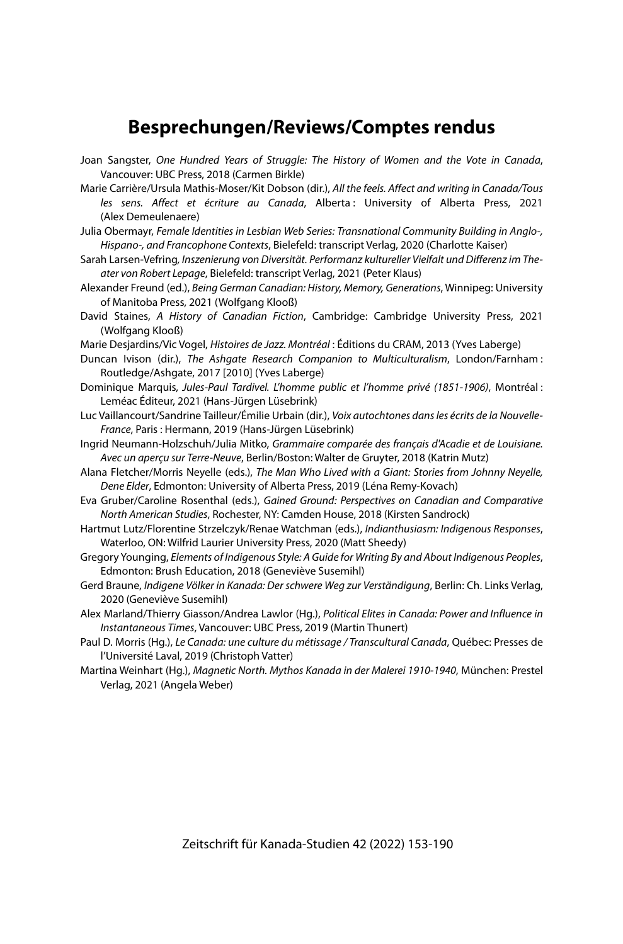# **Besprechungen/Reviews/Comptes rendus**

- Joan Sangster, One Hundred Years of Struggle: The History of Women and the Vote in Canada, Vancouver: UBC Press, 2018 (Carmen Birkle)
- Marie Carrière/Ursula Mathis-Moser/Kit Dobson (dir.), All the feels. Affect and writing in Canada/Tous les sens. Affect et écriture au Canada, Alberta : University of Alberta Press, 2021 (Alex Demeulenaere)
- Julia Obermayr, Female Identities in Lesbian Web Series: Transnational Community Building in Anglo-, Hispano-, and Francophone Contexts, Bielefeld: transcript Verlag, 2020 (Charlotte Kaiser)
- Sarah Larsen-Vefring, Inszenierung von Diversität. Performanz kultureller Vielfalt und Differenz im Theater von Robert Lepage, Bielefeld: transcript Verlag, 2021 (Peter Klaus)
- Alexander Freund (ed.), Being German Canadian: History, Memory, Generations, Winnipeg: University of Manitoba Press, 2021 (Wolfgang Klooß)
- David Staines, A History of Canadian Fiction, Cambridge: Cambridge University Press, 2021 (Wolfgang Klooß)
- Marie Desjardins/Vic Vogel, Histoires de Jazz. Montréal : Éditions du CRAM, 2013 (Yves Laberge)
- Duncan Ivison (dir.), The Ashgate Research Companion to Multiculturalism, London/Farnham : Routledge/Ashgate, 2017 [2010] (Yves Laberge)
- Dominique Marquis, Jules-Paul Tardivel. L'homme public et l'homme privé (1851-1906), Montréal : Leméac Éditeur, 2021 (Hans-Jürgen Lüsebrink)
- Luc Vaillancourt/Sandrine Tailleur/Émilie Urbain (dir.), Voix autochtones dans les écrits de la Nouvelle-France, Paris : Hermann, 2019 (Hans-Jürgen Lüsebrink)
- Ingrid Neumann-Holzschuh/Julia Mitko, Grammaire comparée des français d'Acadie et de Louisiane. Avec un aperçu sur Terre-Neuve, Berlin/Boston: Walter de Gruyter, 2018 (Katrin Mutz)
- Alana Fletcher/Morris Neyelle (eds.), The Man Who Lived with a Giant: Stories from Johnny Neyelle, Dene Elder, Edmonton: University of Alberta Press, 2019 (Léna Remy-Kovach)
- Eva Gruber/Caroline Rosenthal (eds.), Gained Ground: Perspectives on Canadian and Comparative North American Studies, Rochester, NY: Camden House, 2018 (Kirsten Sandrock)
- Hartmut Lutz/Florentine Strzelczyk/Renae Watchman (eds.), Indianthusiasm: Indigenous Responses, Waterloo, ON: Wilfrid Laurier University Press, 2020 (Matt Sheedy)
- Gregory Younging, Elements of Indigenous Style: A Guide for Writing By and About Indigenous Peoples, Edmonton: Brush Education, 2018 (Geneviève Susemihl)
- Gerd Braune, Indigene Völker in Kanada: Der schwere Weg zur Verständigung, Berlin: Ch. Links Verlag, 2020 (Geneviève Susemihl)
- Alex Marland/Thierry Giasson/Andrea Lawlor (Hg.), Political Elites in Canada: Power and Influence in Instantaneous Times, Vancouver: UBC Press, 2019 (Martin Thunert)
- Paul D. Morris (Hg.), Le Canada: une culture du métissage / Transcultural Canada, Québec: Presses de l'Université Laval, 2019 (Christoph Vatter)
- Martina Weinhart (Hg.), Magnetic North. Mythos Kanada in der Malerei 1910-1940, München: Prestel Verlag, 2021 (Angela Weber)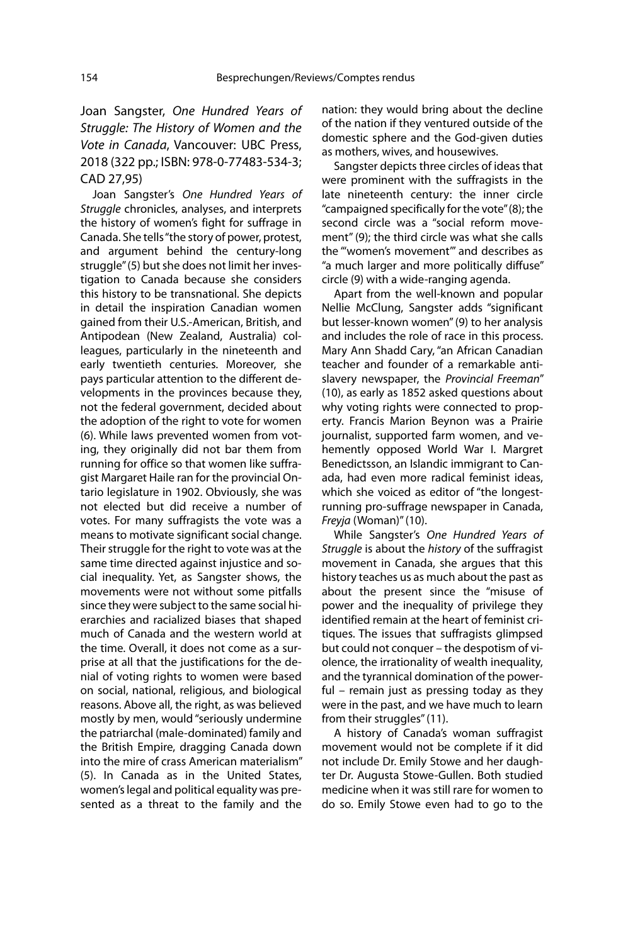Joan Sangster, One Hundred Years of Struggle: The History of Women and the Vote in Canada, Vancouver: UBC Press, 2018 (322 pp.; ISBN: 978-0-77483-534-3; CAD 27,95)

Joan Sangster's One Hundred Years of Struggle chronicles, analyses, and interprets the history of women's fight for suffrage in Canada. She tells "the story of power, protest, and argument behind the century-long struggle" (5) but she does not limit her investigation to Canada because she considers this history to be transnational. She depicts in detail the inspiration Canadian women gained from their U.S.-American, British, and Antipodean (New Zealand, Australia) colleagues, particularly in the nineteenth and early twentieth centuries. Moreover, she pays particular attention to the different developments in the provinces because they, not the federal government, decided about the adoption of the right to vote for women (6). While laws prevented women from voting, they originally did not bar them from running for office so that women like suffragist Margaret Haile ran for the provincial Ontario legislature in 1902. Obviously, she was not elected but did receive a number of votes. For many suffragists the vote was a means to motivate significant social change. Their struggle for the right to vote was at the same time directed against injustice and social inequality. Yet, as Sangster shows, the movements were not without some pitfalls since they were subject to the same social hierarchies and racialized biases that shaped much of Canada and the western world at the time. Overall, it does not come as a surprise at all that the justifications for the denial of voting rights to women were based on social, national, religious, and biological reasons. Above all, the right, as was believed mostly by men, would "seriously undermine the patriarchal (male-dominated) family and the British Empire, dragging Canada down into the mire of crass American materialism" (5). In Canada as in the United States, women's legal and political equality was presented as a threat to the family and the

nation: they would bring about the decline of the nation if they ventured outside of the domestic sphere and the God-given duties as mothers, wives, and housewives.

Sangster depicts three circles of ideas that were prominent with the suffragists in the late nineteenth century: the inner circle "campaigned specifically for the vote" (8); the second circle was a "social reform movement" (9); the third circle was what she calls the "'women's movement'" and describes as "a much larger and more politically diffuse" circle (9) with a wide-ranging agenda.

Apart from the well-known and popular Nellie McClung, Sangster adds "significant but lesser-known women" (9) to her analysis and includes the role of race in this process. Mary Ann Shadd Cary, "an African Canadian teacher and founder of a remarkable antislavery newspaper, the Provincial Freeman" (10), as early as 1852 asked questions about why voting rights were connected to property. Francis Marion Beynon was a Prairie journalist, supported farm women, and vehemently opposed World War I. Margret Benedictsson, an Islandic immigrant to Canada, had even more radical feminist ideas, which she voiced as editor of "the longestrunning pro-suffrage newspaper in Canada, Freyja (Woman)" (10).

While Sangster's One Hundred Years of Struggle is about the history of the suffragist movement in Canada, she argues that this history teaches us as much about the past as about the present since the "misuse of power and the inequality of privilege they identified remain at the heart of feminist critiques. The issues that suffragists glimpsed but could not conquer – the despotism of violence, the irrationality of wealth inequality, and the tyrannical domination of the powerful – remain just as pressing today as they were in the past, and we have much to learn from their struggles" (11).

A history of Canada's woman suffragist movement would not be complete if it did not include Dr. Emily Stowe and her daughter Dr. Augusta Stowe-Gullen. Both studied medicine when it was still rare for women to do so. Emily Stowe even had to go to the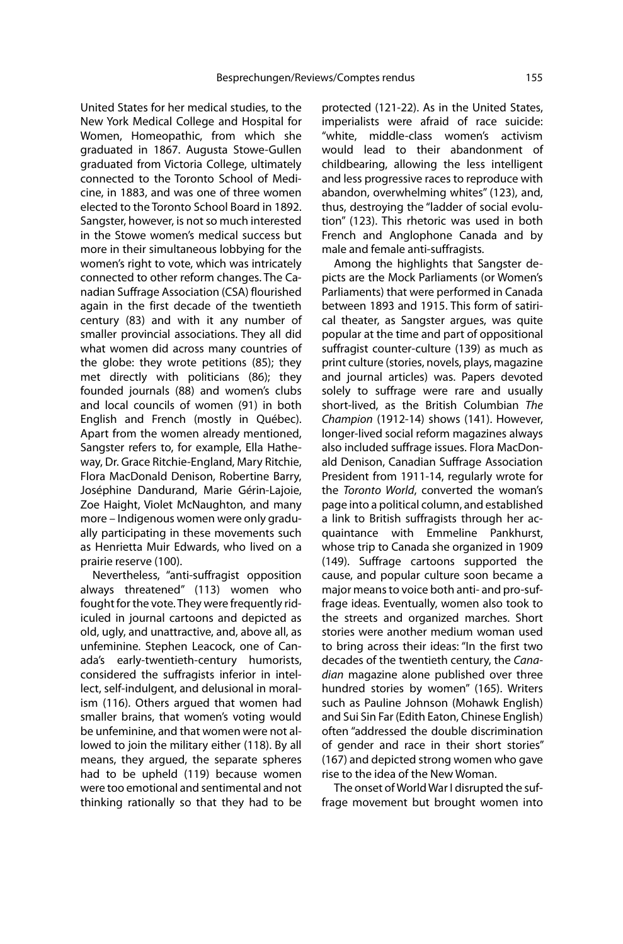United States for her medical studies, to the New York Medical College and Hospital for Women, Homeopathic, from which she graduated in 1867. Augusta Stowe-Gullen graduated from Victoria College, ultimately connected to the Toronto School of Medicine, in 1883, and was one of three women elected to the Toronto School Board in 1892. Sangster, however, is not so much interested in the Stowe women's medical success but more in their simultaneous lobbying for the women's right to vote, which was intricately connected to other reform changes. The Canadian Suffrage Association (CSA) flourished again in the first decade of the twentieth century (83) and with it any number of smaller provincial associations. They all did what women did across many countries of the globe: they wrote petitions (85); they met directly with politicians (86); they founded journals (88) and women's clubs and local councils of women (91) in both English and French (mostly in Québec). Apart from the women already mentioned, Sangster refers to, for example, Ella Hatheway, Dr. Grace Ritchie-England, Mary Ritchie, Flora MacDonald Denison, Robertine Barry, Joséphine Dandurand, Marie Gérin-Lajoie, Zoe Haight, Violet McNaughton, and many more – Indigenous women were only gradually participating in these movements such as Henrietta Muir Edwards, who lived on a prairie reserve (100).

Nevertheless, "anti-suffragist opposition always threatened" (113) women who fought for the vote. They were frequently ridiculed in journal cartoons and depicted as old, ugly, and unattractive, and, above all, as unfeminine. Stephen Leacock, one of Canada's early-twentieth-century humorists, considered the suffragists inferior in intellect, self-indulgent, and delusional in moralism (116). Others argued that women had smaller brains, that women's voting would be unfeminine, and that women were not allowed to join the military either (118). By all means, they argued, the separate spheres had to be upheld (119) because women were too emotional and sentimental and not thinking rationally so that they had to be protected (121-22). As in the United States, imperialists were afraid of race suicide: "white, middle-class women's activism would lead to their abandonment of childbearing, allowing the less intelligent and less progressive races to reproduce with abandon, overwhelming whites" (123), and, thus, destroying the "ladder of social evolution" (123). This rhetoric was used in both French and Anglophone Canada and by male and female anti-suffragists.

Among the highlights that Sangster depicts are the Mock Parliaments (or Women's Parliaments) that were performed in Canada between 1893 and 1915. This form of satirical theater, as Sangster argues, was quite popular at the time and part of oppositional suffragist counter-culture (139) as much as print culture (stories, novels, plays, magazine and journal articles) was. Papers devoted solely to suffrage were rare and usually short-lived, as the British Columbian The Champion (1912-14) shows (141). However, longer-lived social reform magazines always also included suffrage issues. Flora MacDonald Denison, Canadian Suffrage Association President from 1911-14, regularly wrote for the Toronto World, converted the woman's page into a political column, and established a link to British suffragists through her acquaintance with Emmeline Pankhurst, whose trip to Canada she organized in 1909 (149). Suffrage cartoons supported the cause, and popular culture soon became a major means to voice both anti- and pro-suffrage ideas. Eventually, women also took to the streets and organized marches. Short stories were another medium woman used to bring across their ideas: "In the first two decades of the twentieth century, the Canadian magazine alone published over three hundred stories by women" (165). Writers such as Pauline Johnson (Mohawk English) and Sui Sin Far (Edith Eaton, Chinese English) often "addressed the double discrimination of gender and race in their short stories" (167) and depicted strong women who gave rise to the idea of the New Woman.

The onset of World War I disrupted the suffrage movement but brought women into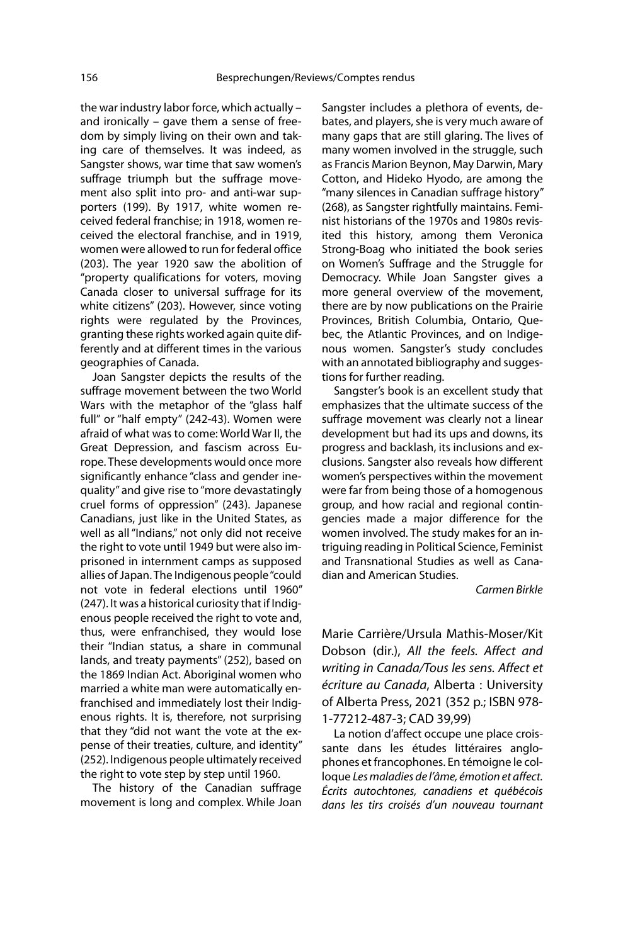the war industry labor force, which actually – and ironically – gave them a sense of freedom by simply living on their own and taking care of themselves. It was indeed, as Sangster shows, war time that saw women's suffrage triumph but the suffrage movement also split into pro- and anti-war supporters (199). By 1917, white women received federal franchise; in 1918, women received the electoral franchise, and in 1919, women were allowed to run for federal office (203). The year 1920 saw the abolition of "property qualifications for voters, moving Canada closer to universal suffrage for its white citizens" (203). However, since voting rights were regulated by the Provinces, granting these rights worked again quite differently and at different times in the various geographies of Canada.

Joan Sangster depicts the results of the suffrage movement between the two World Wars with the metaphor of the "glass half full" or "half empty" (242-43). Women were afraid of what was to come: World War II, the Great Depression, and fascism across Europe. These developments would once more significantly enhance "class and gender inequality" and give rise to "more devastatingly cruel forms of oppression" (243). Japanese Canadians, just like in the United States, as well as all "Indians," not only did not receive the right to vote until 1949 but were also imprisoned in internment camps as supposed allies of Japan. The Indigenous people "could not vote in federal elections until 1960" (247). It was a historical curiosity that if Indigenous people received the right to vote and, thus, were enfranchised, they would lose their "Indian status, a share in communal lands, and treaty payments" (252), based on the 1869 Indian Act. Aboriginal women who married a white man were automatically enfranchised and immediately lost their Indigenous rights. It is, therefore, not surprising that they "did not want the vote at the expense of their treaties, culture, and identity" (252). Indigenous people ultimately received the right to vote step by step until 1960.

The history of the Canadian suffrage movement is long and complex. While Joan

Sangster includes a plethora of events, debates, and players, she is very much aware of many gaps that are still glaring. The lives of many women involved in the struggle, such as Francis Marion Beynon, May Darwin, Mary Cotton, and Hideko Hyodo, are among the "many silences in Canadian suffrage history" (268), as Sangster rightfully maintains. Feminist historians of the 1970s and 1980s revisited this history, among them Veronica Strong-Boag who initiated the book series on Women's Suffrage and the Struggle for Democracy. While Joan Sangster gives a more general overview of the movement, there are by now publications on the Prairie Provinces, British Columbia, Ontario, Quebec, the Atlantic Provinces, and on Indigenous women. Sangster's study concludes with an annotated bibliography and suggestions for further reading.

Sangster's book is an excellent study that emphasizes that the ultimate success of the suffrage movement was clearly not a linear development but had its ups and downs, its progress and backlash, its inclusions and exclusions. Sangster also reveals how different women's perspectives within the movement were far from being those of a homogenous group, and how racial and regional contingencies made a major difference for the women involved. The study makes for an intriguing reading in Political Science, Feminist and Transnational Studies as well as Canadian and American Studies.

#### Carmen Birkle

Marie Carrière/Ursula Mathis-Moser/Kit Dobson (dir.), All the feels. Affect and writing in Canada/Tous les sens. Affect et écriture au Canada, Alberta : University of Alberta Press, 2021 (352 p.; ISBN 978- 1-77212-487-3; CAD 39,99)

La notion d'affect occupe une place croissante dans les études littéraires anglophones et francophones. En témoigne le colloque Les maladies de l'âme, émotion et affect. Écrits autochtones, canadiens et québécois dans les tirs croisés d'un nouveau tournant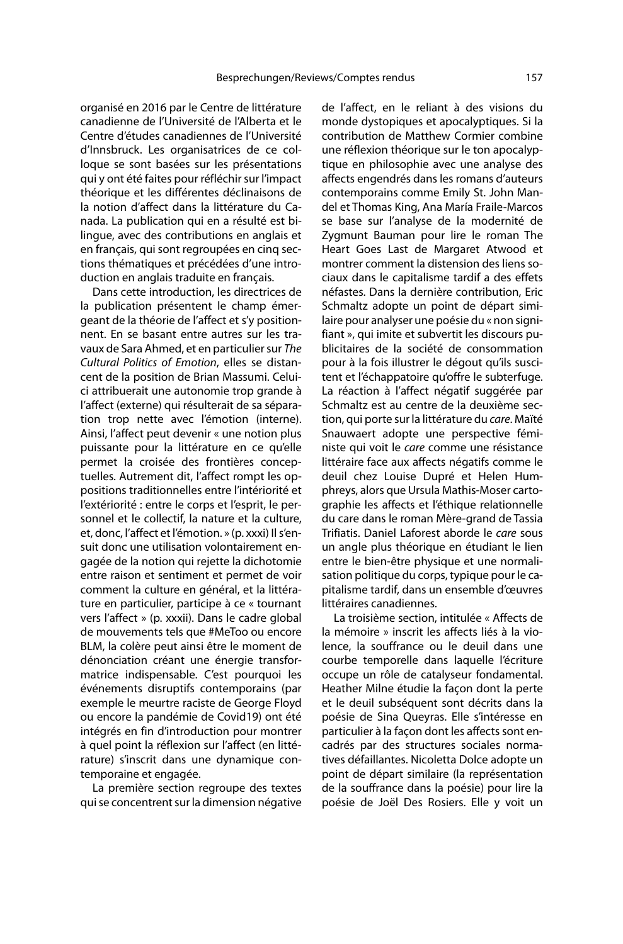organisé en 2016 par le Centre de littérature canadienne de l'Université de l'Alberta et le Centre d'études canadiennes de l'Université d'Innsbruck. Les organisatrices de ce colloque se sont basées sur les présentations qui y ont été faites pour réfléchir sur l'impact théorique et les différentes déclinaisons de la notion d'affect dans la littérature du Canada. La publication qui en a résulté est bilingue, avec des contributions en anglais et en français, qui sont regroupées en cinq sections thématiques et précédées d'une introduction en anglais traduite en français.

Dans cette introduction, les directrices de la publication présentent le champ émergeant de la théorie de l'affect et s'y positionnent. En se basant entre autres sur les travaux de Sara Ahmed, et en particulier sur The Cultural Politics of Emotion, elles se distancent de la position de Brian Massumi. Celuici attribuerait une autonomie trop grande à l'affect (externe) qui résulterait de sa séparation trop nette avec l'émotion (interne). Ainsi, l'affect peut devenir « une notion plus puissante pour la littérature en ce qu'elle permet la croisée des frontières conceptuelles. Autrement dit, l'affect rompt les oppositions traditionnelles entre l'intériorité et l'extériorité : entre le corps et l'esprit, le personnel et le collectif, la nature et la culture, et, donc, l'affect et l'émotion. » (p. xxxi) Il s'ensuit donc une utilisation volontairement engagée de la notion qui rejette la dichotomie entre raison et sentiment et permet de voir comment la culture en général, et la littérature en particulier, participe à ce « tournant vers l'affect » (p. xxxii). Dans le cadre global de mouvements tels que #MeToo ou encore BLM, la colère peut ainsi être le moment de dénonciation créant une énergie transformatrice indispensable. C'est pourquoi les événements disruptifs contemporains (par exemple le meurtre raciste de George Floyd ou encore la pandémie de Covid19) ont été intégrés en fin d'introduction pour montrer à quel point la réflexion sur l'affect (en littérature) s'inscrit dans une dynamique contemporaine et engagée.

La première section regroupe des textes qui se concentrent sur la dimension négative

de l'affect, en le reliant à des visions du monde dystopiques et apocalyptiques. Si la contribution de Matthew Cormier combine une réflexion théorique sur le ton apocalyptique en philosophie avec une analyse des affects engendrés dans les romans d'auteurs contemporains comme Emily St. John Mandel et Thomas King, Ana María Fraile-Marcos se base sur l'analyse de la modernité de Zygmunt Bauman pour lire le roman The Heart Goes Last de Margaret Atwood et montrer comment la distension des liens sociaux dans le capitalisme tardif a des effets néfastes. Dans la dernière contribution, Eric Schmaltz adopte un point de départ similaire pour analyser une poésie du « non signifiant », qui imite et subvertit les discours publicitaires de la société de consommation pour à la fois illustrer le dégout qu'ils suscitent et l'échappatoire qu'offre le subterfuge. La réaction à l'affect négatif suggérée par Schmaltz est au centre de la deuxième section, qui porte sur la littérature du care. Maïté Snauwaert adopte une perspective féministe qui voit le care comme une résistance littéraire face aux affects négatifs comme le deuil chez Louise Dupré et Helen Humphreys, alors que Ursula Mathis-Moser cartographie les affects et l'éthique relationnelle du care dans le roman Mère-grand de Tassia Trifiatis. Daniel Laforest aborde le care sous un angle plus théorique en étudiant le lien entre le bien-être physique et une normalisation politique du corps, typique pour le capitalisme tardif, dans un ensemble d'œuvres littéraires canadiennes.

La troisième section, intitulée « Affects de la mémoire » inscrit les affects liés à la violence, la souffrance ou le deuil dans une courbe temporelle dans laquelle l'écriture occupe un rôle de catalyseur fondamental. Heather Milne étudie la façon dont la perte et le deuil subséquent sont décrits dans la poésie de Sina Queyras. Elle s'intéresse en particulier à la façon dont les affects sont encadrés par des structures sociales normatives défaillantes. Nicoletta Dolce adopte un point de départ similaire (la représentation de la souffrance dans la poésie) pour lire la poésie de Joël Des Rosiers. Elle y voit un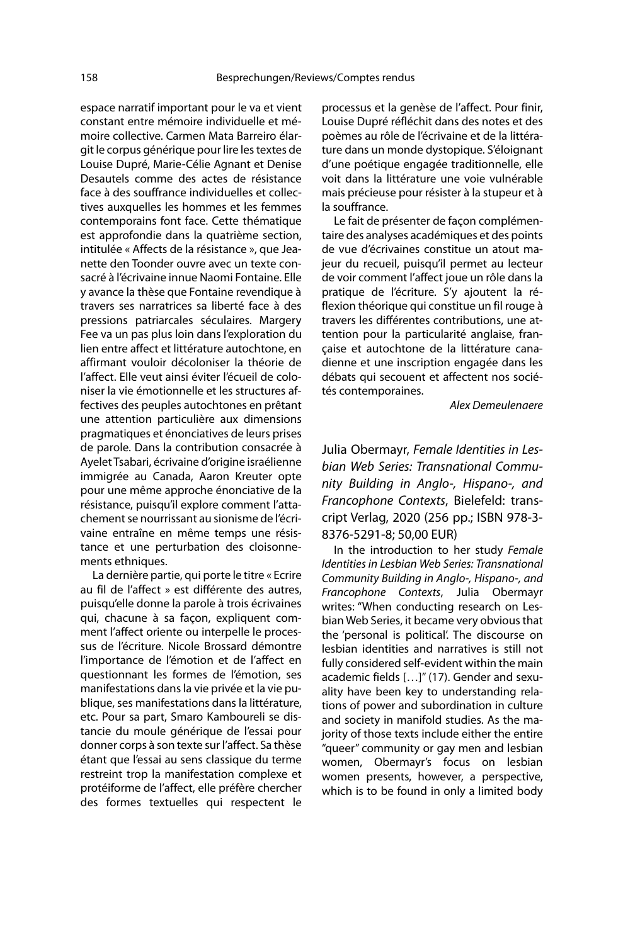espace narratif important pour le va et vient constant entre mémoire individuelle et mémoire collective. Carmen Mata Barreiro élargit le corpus générique pour lire les textes de Louise Dupré, Marie-Célie Agnant et Denise Desautels comme des actes de résistance face à des souffrance individuelles et collectives auxquelles les hommes et les femmes contemporains font face. Cette thématique est approfondie dans la quatrième section, intitulée « Affects de la résistance », que Jeanette den Toonder ouvre avec un texte consacré à l'écrivaine innue Naomi Fontaine. Elle y avance la thèse que Fontaine revendique à travers ses narratrices sa liberté face à des pressions patriarcales séculaires. Margery Fee va un pas plus loin dans l'exploration du lien entre affect et littérature autochtone, en affirmant vouloir décoloniser la théorie de l'affect. Elle veut ainsi éviter l'écueil de coloniser la vie émotionnelle et les structures affectives des peuples autochtones en prêtant une attention particulière aux dimensions pragmatiques et énonciatives de leurs prises de parole. Dans la contribution consacrée à Ayelet Tsabari, écrivaine d'origine israélienne immigrée au Canada, Aaron Kreuter opte pour une même approche énonciative de la résistance, puisqu'il explore comment l'attachement se nourrissant au sionisme de l'écrivaine entraîne en même temps une résistance et une perturbation des cloisonnements ethniques.

La dernière partie, qui porte le titre « Ecrire au fil de l'affect » est différente des autres, puisqu'elle donne la parole à trois écrivaines qui, chacune à sa façon, expliquent comment l'affect oriente ou interpelle le processus de l'écriture. Nicole Brossard démontre l'importance de l'émotion et de l'affect en questionnant les formes de l'émotion, ses manifestations dans la vie privée et la vie publique, ses manifestations dans la littérature, etc. Pour sa part, Smaro Kamboureli se distancie du moule générique de l'essai pour donner corps à son texte sur l'affect. Sa thèse étant que l'essai au sens classique du terme restreint trop la manifestation complexe et protéiforme de l'affect, elle préfère chercher des formes textuelles qui respectent le

processus et la genèse de l'affect. Pour finir, Louise Dupré réfléchit dans des notes et des poèmes au rôle de l'écrivaine et de la littérature dans un monde dystopique. S'éloignant d'une poétique engagée traditionnelle, elle voit dans la littérature une voie vulnérable mais précieuse pour résister à la stupeur et à la souffrance.

Le fait de présenter de façon complémentaire des analyses académiques et des points de vue d'écrivaines constitue un atout majeur du recueil, puisqu'il permet au lecteur de voir comment l'affect joue un rôle dans la pratique de l'écriture. S'y ajoutent la réflexion théorique qui constitue un fil rouge à travers les différentes contributions, une attention pour la particularité anglaise, française et autochtone de la littérature canadienne et une inscription engagée dans les débats qui secouent et affectent nos sociétés contemporaines.

Alex Demeulenaere

Julia Obermayr, Female Identities in Lesbian Web Series: Transnational Community Building in Anglo-, Hispano-, and Francophone Contexts, Bielefeld: transcript Verlag, 2020 (256 pp.; ISBN 978-3- 8376-5291-8; 50,00 EUR)

In the introduction to her study Female Identities in Lesbian Web Series: Transnational Community Building in Anglo-, Hispano-, and Francophone Contexts, Julia Obermayr writes: "When conducting research on Lesbian Web Series, it became very obvious that the 'personal is political'. The discourse on lesbian identities and narratives is still not fully considered self-evident within the main academic fields […]" (17). Gender and sexuality have been key to understanding relations of power and subordination in culture and society in manifold studies. As the majority of those texts include either the entire "queer" community or gay men and lesbian women, Obermayr's focus on lesbian women presents, however, a perspective, which is to be found in only a limited body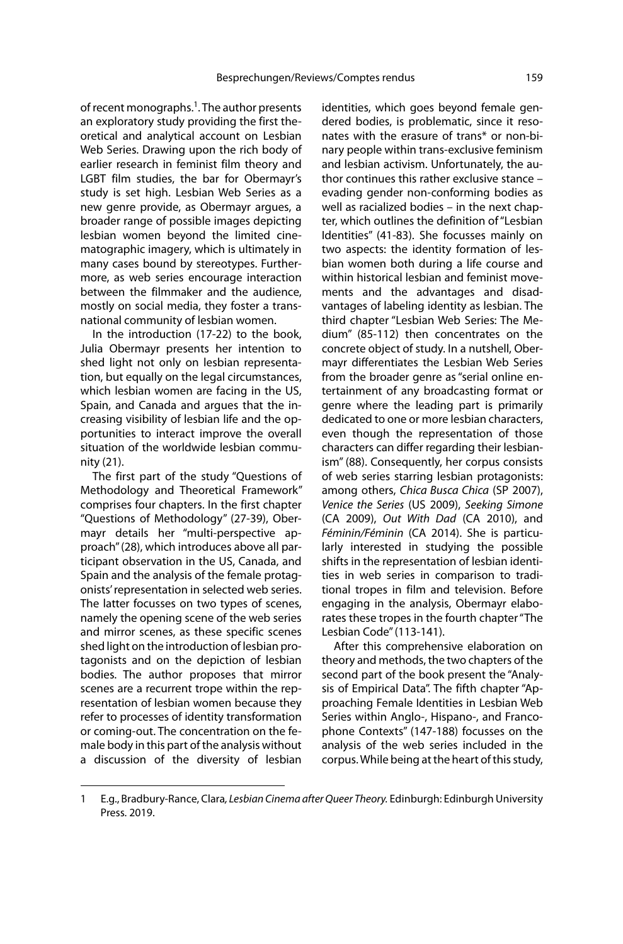of recent monographs.<sup>1</sup>. The author presents an exploratory study providing the first theoretical and analytical account on Lesbian Web Series. Drawing upon the rich body of earlier research in feminist film theory and LGBT film studies, the bar for Obermayr's study is set high. Lesbian Web Series as a new genre provide, as Obermayr argues, a broader range of possible images depicting lesbian women beyond the limited cinematographic imagery, which is ultimately in many cases bound by stereotypes. Furthermore, as web series encourage interaction between the filmmaker and the audience, mostly on social media, they foster a transnational community of lesbian women.

In the introduction (17-22) to the book, Julia Obermayr presents her intention to shed light not only on lesbian representation, but equally on the legal circumstances, which lesbian women are facing in the US, Spain, and Canada and argues that the increasing visibility of lesbian life and the opportunities to interact improve the overall situation of the worldwide lesbian community (21).

The first part of the study "Questions of Methodology and Theoretical Framework" comprises four chapters. In the first chapter "Questions of Methodology" (27-39), Obermayr details her "multi-perspective approach" (28), which introduces above all participant observation in the US, Canada, and Spain and the analysis of the female protagonists' representation in selected web series. The latter focusses on two types of scenes, namely the opening scene of the web series and mirror scenes, as these specific scenes shed light on the introduction of lesbian protagonists and on the depiction of lesbian bodies. The author proposes that mirror scenes are a recurrent trope within the representation of lesbian women because they refer to processes of identity transformation or coming-out. The concentration on the female body in this part of the analysis without a discussion of the diversity of lesbian

identities, which goes beyond female gendered bodies, is problematic, since it resonates with the erasure of trans\* or non-binary people within trans-exclusive feminism and lesbian activism. Unfortunately, the author continues this rather exclusive stance – evading gender non-conforming bodies as well as racialized bodies – in the next chapter, which outlines the definition of "Lesbian Identities" (41-83). She focusses mainly on two aspects: the identity formation of lesbian women both during a life course and within historical lesbian and feminist movements and the advantages and disadvantages of labeling identity as lesbian. The third chapter "Lesbian Web Series: The Medium" (85-112) then concentrates on the concrete object of study. In a nutshell, Obermayr differentiates the Lesbian Web Series from the broader genre as "serial online entertainment of any broadcasting format or genre where the leading part is primarily dedicated to one or more lesbian characters, even though the representation of those characters can differ regarding their lesbianism" (88). Consequently, her corpus consists of web series starring lesbian protagonists: among others, Chica Busca Chica (SP 2007), Venice the Series (US 2009), Seeking Simone (CA 2009), Out With Dad (CA 2010), and Féminin/Féminin (CA 2014). She is particularly interested in studying the possible shifts in the representation of lesbian identities in web series in comparison to traditional tropes in film and television. Before engaging in the analysis, Obermayr elaborates these tropes in the fourth chapter "The Lesbian Code" (113-141).

After this comprehensive elaboration on theory and methods, the two chapters of the second part of the book present the "Analysis of Empirical Data". The fifth chapter "Approaching Female Identities in Lesbian Web Series within Anglo-, Hispano-, and Francophone Contexts" (147-188) focusses on the analysis of the web series included in the corpus. While being at the heart of this study,

<sup>1</sup> E.g., Bradbury-Rance, Clara, Lesbian Cinema after Queer Theory. Edinburgh: Edinburgh University Press. 2019.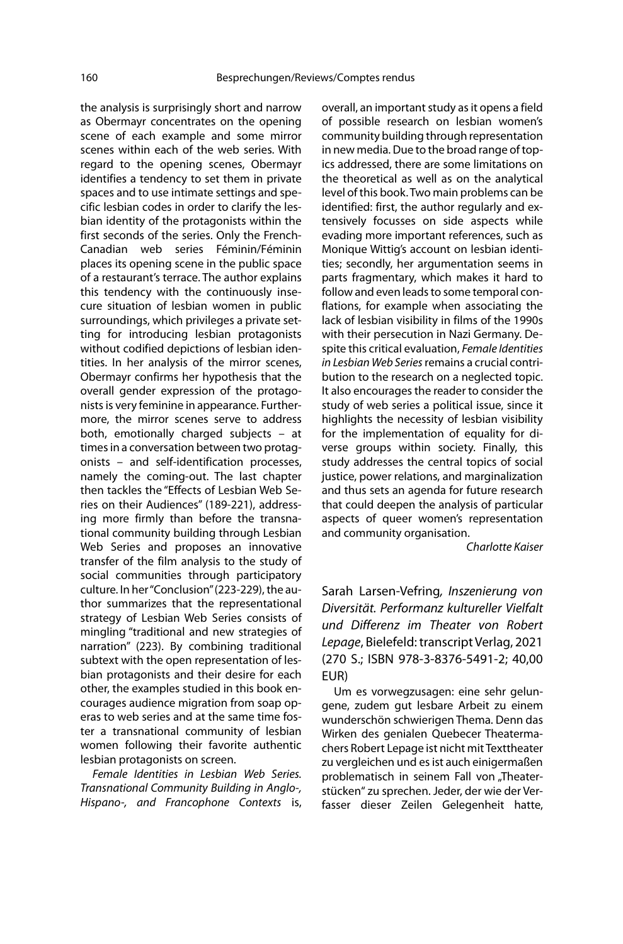the analysis is surprisingly short and narrow as Obermayr concentrates on the opening scene of each example and some mirror scenes within each of the web series. With regard to the opening scenes, Obermayr identifies a tendency to set them in private spaces and to use intimate settings and specific lesbian codes in order to clarify the lesbian identity of the protagonists within the first seconds of the series. Only the French-Canadian web series Féminin/Féminin places its opening scene in the public space of a restaurant's terrace. The author explains this tendency with the continuously insecure situation of lesbian women in public surroundings, which privileges a private setting for introducing lesbian protagonists without codified depictions of lesbian identities. In her analysis of the mirror scenes, Obermayr confirms her hypothesis that the overall gender expression of the protagonists is very feminine in appearance. Furthermore, the mirror scenes serve to address both, emotionally charged subjects – at times in a conversation between two protagonists – and self-identification processes, namely the coming-out. The last chapter then tackles the "Effects of Lesbian Web Series on their Audiences" (189-221), addressing more firmly than before the transnational community building through Lesbian Web Series and proposes an innovative transfer of the film analysis to the study of social communities through participatory culture. In her "Conclusion" (223-229), the author summarizes that the representational strategy of Lesbian Web Series consists of mingling "traditional and new strategies of narration" (223). By combining traditional subtext with the open representation of lesbian protagonists and their desire for each other, the examples studied in this book encourages audience migration from soap operas to web series and at the same time foster a transnational community of lesbian women following their favorite authentic lesbian protagonists on screen.

Female Identities in Lesbian Web Series. Transnational Community Building in Anglo-, Hispano-, and Francophone Contexts is, overall, an important study as it opens a field of possible research on lesbian women's community building through representation in new media. Due to the broad range of topics addressed, there are some limitations on the theoretical as well as on the analytical level of this book. Two main problems can be identified: first, the author regularly and extensively focusses on side aspects while evading more important references, such as Monique Wittig's account on lesbian identities; secondly, her argumentation seems in parts fragmentary, which makes it hard to follow and even leads to some temporal conflations, for example when associating the lack of lesbian visibility in films of the 1990s with their persecution in Nazi Germany. Despite this critical evaluation, Female Identities in Lesbian Web Series remains a crucial contribution to the research on a neglected topic. It also encourages the reader to consider the study of web series a political issue, since it highlights the necessity of lesbian visibility for the implementation of equality for diverse groups within society. Finally, this study addresses the central topics of social justice, power relations, and marginalization and thus sets an agenda for future research that could deepen the analysis of particular aspects of queer women's representation and community organisation.

Charlotte Kaiser

Sarah Larsen-Vefring, Inszenierung von Diversität. Performanz kultureller Vielfalt und Differenz im Theater von Robert Lepage, Bielefeld: transcript Verlag, 2021 (270 S.; ISBN 978-3-8376-5491-2; 40,00 EUR)

Um es vorwegzusagen: eine sehr gelungene, zudem gut lesbare Arbeit zu einem wunderschön schwierigen Thema. Denn das Wirken des genialen Quebecer Theatermachers Robert Lepage ist nicht mit Texttheater zu vergleichen und es ist auch einigermaßen problematisch in seinem Fall von "Theaterstücken" zu sprechen. Jeder, der wie der Verfasser dieser Zeilen Gelegenheit hatte,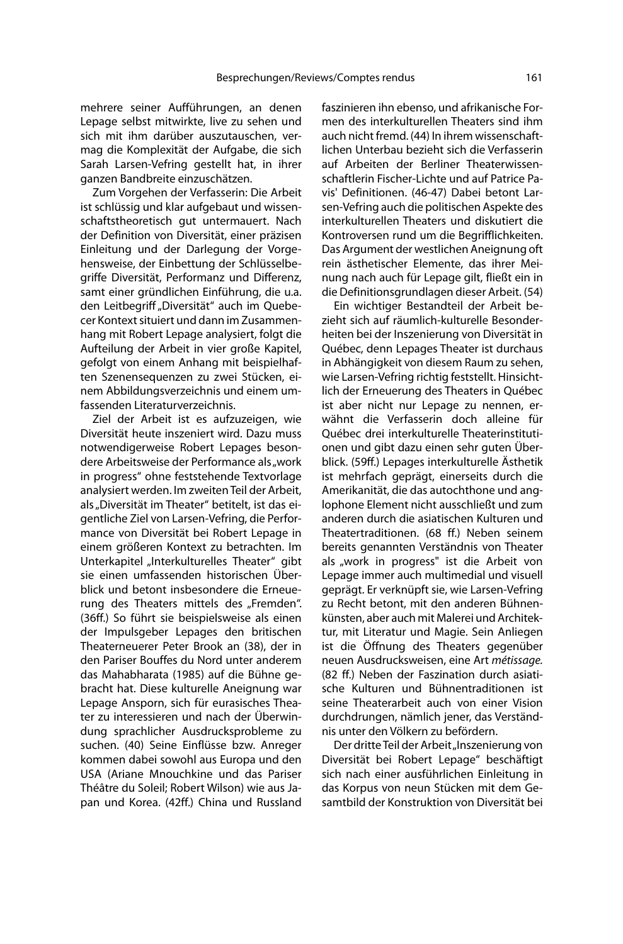mehrere seiner Aufführungen, an denen Lepage selbst mitwirkte, live zu sehen und sich mit ihm darüber auszutauschen, vermag die Komplexität der Aufgabe, die sich Sarah Larsen-Vefring gestellt hat, in ihrer ganzen Bandbreite einzuschätzen.

Zum Vorgehen der Verfasserin: Die Arbeit ist schlüssig und klar aufgebaut und wissenschaftstheoretisch gut untermauert. Nach der Definition von Diversität, einer präzisen Einleitung und der Darlegung der Vorgehensweise, der Einbettung der Schlüsselbegriffe Diversität, Performanz und Differenz, samt einer gründlichen Einführung, die u.a. den Leitbegriff "Diversität" auch im Quebecer Kontext situiert und dann im Zusammenhang mit Robert Lepage analysiert, folgt die Aufteilung der Arbeit in vier große Kapitel, gefolgt von einem Anhang mit beispielhaften Szenensequenzen zu zwei Stücken, einem Abbildungsverzeichnis und einem umfassenden Literaturverzeichnis.

Ziel der Arbeit ist es aufzuzeigen, wie Diversität heute inszeniert wird. Dazu muss notwendigerweise Robert Lepages besondere Arbeitsweise der Performance als "work in progress" ohne feststehende Textvorlage analysiert werden. Im zweiten Teil der Arbeit, als "Diversität im Theater" betitelt, ist das eigentliche Ziel von Larsen-Vefring, die Performance von Diversität bei Robert Lepage in einem größeren Kontext zu betrachten. Im Unterkapitel "Interkulturelles Theater" gibt sie einen umfassenden historischen Überblick und betont insbesondere die Erneuerung des Theaters mittels des "Fremden". (36ff.) So führt sie beispielsweise als einen der Impulsgeber Lepages den britischen Theaterneuerer Peter Brook an (38), der in den Pariser Bouffes du Nord unter anderem das Mahabharata (1985) auf die Bühne gebracht hat. Diese kulturelle Aneignung war Lepage Ansporn, sich für eurasisches Theater zu interessieren und nach der Überwindung sprachlicher Ausdrucksprobleme zu suchen. (40) Seine Einflüsse bzw. Anreger kommen dabei sowohl aus Europa und den USA (Ariane Mnouchkine und das Pariser Théâtre du Soleil; Robert Wilson) wie aus Japan und Korea. (42ff.) China und Russland faszinieren ihn ebenso, und afrikanische Formen des interkulturellen Theaters sind ihm auch nicht fremd. (44) In ihrem wissenschaftlichen Unterbau bezieht sich die Verfasserin auf Arbeiten der Berliner Theaterwissenschaftlerin Fischer-Lichte und auf Patrice Pavis' Definitionen. (46-47) Dabei betont Larsen-Vefring auch die politischen Aspekte des interkulturellen Theaters und diskutiert die Kontroversen rund um die Begrifflichkeiten. Das Argument der westlichen Aneignung oft rein ästhetischer Elemente, das ihrer Meinung nach auch für Lepage gilt, fließt ein in die Definitionsgrundlagen dieser Arbeit. (54)

Ein wichtiger Bestandteil der Arbeit bezieht sich auf räumlich-kulturelle Besonderheiten bei der Inszenierung von Diversität in Québec, denn Lepages Theater ist durchaus in Abhängigkeit von diesem Raum zu sehen, wie Larsen-Vefring richtig feststellt. Hinsichtlich der Erneuerung des Theaters in Québec ist aber nicht nur Lepage zu nennen, erwähnt die Verfasserin doch alleine für Québec drei interkulturelle Theaterinstitutionen und gibt dazu einen sehr guten Überblick. (59ff.) Lepages interkulturelle Ästhetik ist mehrfach geprägt, einerseits durch die Amerikanität, die das autochthone und anglophone Element nicht ausschließt und zum anderen durch die asiatischen Kulturen und Theatertraditionen. (68 ff.) Neben seinem bereits genannten Verständnis von Theater als "work in progress" ist die Arbeit von Lepage immer auch multimedial und visuell geprägt. Er verknüpft sie, wie Larsen-Vefring zu Recht betont, mit den anderen Bühnenkünsten, aber auch mit Malerei und Architektur, mit Literatur und Magie. Sein Anliegen ist die Öffnung des Theaters gegenüber neuen Ausdrucksweisen, eine Art métissage. (82 ff.) Neben der Faszination durch asiatische Kulturen und Bühnentraditionen ist seine Theaterarbeit auch von einer Vision durchdrungen, nämlich jener, das Verständnis unter den Völkern zu befördern.

Der dritte Teil der Arbeit "Inszenierung von Diversität bei Robert Lepage" beschäftigt sich nach einer ausführlichen Einleitung in das Korpus von neun Stücken mit dem Gesamtbild der Konstruktion von Diversität bei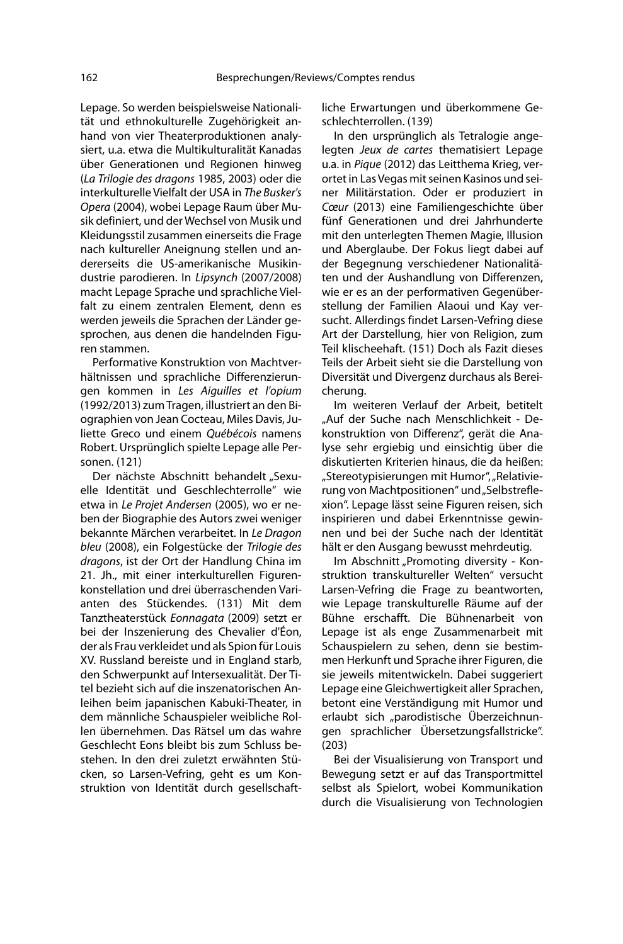Lepage. So werden beispielsweise Nationalität und ethnokulturelle Zugehörigkeit anhand von vier Theaterproduktionen analysiert, u.a. etwa die Multikulturalität Kanadas über Generationen und Regionen hinweg (La Trilogie des dragons 1985, 2003) oder die interkulturelle Vielfalt der USA in The Busker's Opera (2004), wobei Lepage Raum über Musik definiert, und der Wechsel von Musik und Kleidungsstil zusammen einerseits die Frage nach kultureller Aneignung stellen und andererseits die US-amerikanische Musikindustrie parodieren. In Lipsynch (2007/2008) macht Lepage Sprache und sprachliche Vielfalt zu einem zentralen Element, denn es werden jeweils die Sprachen der Länder gesprochen, aus denen die handelnden Figuren stammen.

Performative Konstruktion von Machtverhältnissen und sprachliche Differenzierungen kommen in Les Aiguilles et l'opium (1992/2013) zum Tragen, illustriert an den Biographien von Jean Cocteau, Miles Davis, Juliette Greco und einem Québécois namens Robert. Ursprünglich spielte Lepage alle Personen. (121)

Der nächste Abschnitt behandelt "Sexuelle Identität und Geschlechterrolle" wie etwa in Le Projet Andersen (2005), wo er neben der Biographie des Autors zwei weniger bekannte Märchen verarbeitet. In Le Dragon bleu (2008), ein Folgestücke der Trilogie des dragons, ist der Ort der Handlung China im 21. Jh., mit einer interkulturellen Figurenkonstellation und drei überraschenden Varianten des Stückendes. (131) Mit dem Tanztheaterstück Eonnagata (2009) setzt er bei der Inszenierung des Chevalier d'Éon, der als Frau verkleidet und als Spion für Louis XV. Russland bereiste und in England starb, den Schwerpunkt auf Intersexualität. Der Titel bezieht sich auf die inszenatorischen Anleihen beim japanischen Kabuki-Theater, in dem männliche Schauspieler weibliche Rollen übernehmen. Das Rätsel um das wahre Geschlecht Eons bleibt bis zum Schluss bestehen. In den drei zuletzt erwähnten Stücken, so Larsen-Vefring, geht es um Konstruktion von Identität durch gesellschaftliche Erwartungen und überkommene Geschlechterrollen. (139)

In den ursprünglich als Tetralogie angelegten Jeux de cartes thematisiert Lepage u.a. in Pique (2012) das Leitthema Krieg, verortet in Las Vegas mit seinen Kasinos und seiner Militärstation. Oder er produziert in Cœur (2013) eine Familiengeschichte über fünf Generationen und drei Jahrhunderte mit den unterlegten Themen Magie, Illusion und Aberglaube. Der Fokus liegt dabei auf der Begegnung verschiedener Nationalitäten und der Aushandlung von Differenzen, wie er es an der performativen Gegenüberstellung der Familien Alaoui und Kay versucht. Allerdings findet Larsen-Vefring diese Art der Darstellung, hier von Religion, zum Teil klischeehaft. (151) Doch als Fazit dieses Teils der Arbeit sieht sie die Darstellung von Diversität und Divergenz durchaus als Bereicherung.

Im weiteren Verlauf der Arbeit, betitelt "Auf der Suche nach Menschlichkeit - Dekonstruktion von Differenz", gerät die Analyse sehr ergiebig und einsichtig über die diskutierten Kriterien hinaus, die da heißen: "Stereotypisierungen mit Humor", "Relativierung von Machtpositionen" und "Selbstreflexion". Lepage lässt seine Figuren reisen, sich inspirieren und dabei Erkenntnisse gewinnen und bei der Suche nach der Identität hält er den Ausgang bewusst mehrdeutig.

Im Abschnitt "Promoting diversity - Konstruktion transkultureller Welten" versucht Larsen-Vefring die Frage zu beantworten, wie Lepage transkulturelle Räume auf der Bühne erschafft. Die Bühnenarbeit von Lepage ist als enge Zusammenarbeit mit Schauspielern zu sehen, denn sie bestimmen Herkunft und Sprache ihrer Figuren, die sie jeweils mitentwickeln. Dabei suggeriert Lepage eine Gleichwertigkeit aller Sprachen, betont eine Verständigung mit Humor und erlaubt sich "parodistische Überzeichnungen sprachlicher Übersetzungsfallstricke". (203)

Bei der Visualisierung von Transport und Bewegung setzt er auf das Transportmittel selbst als Spielort, wobei Kommunikation durch die Visualisierung von Technologien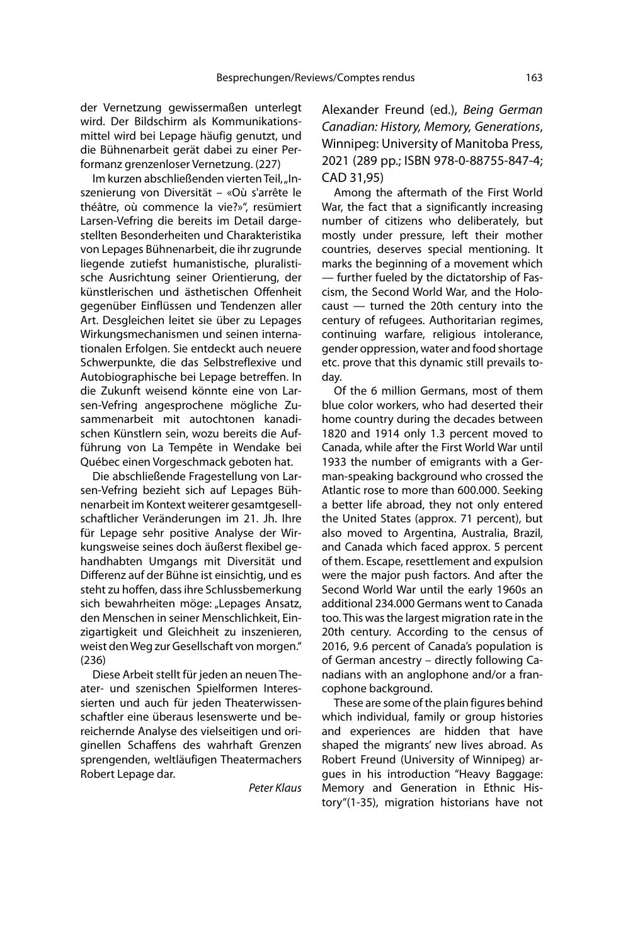der Vernetzung gewissermaßen unterlegt wird. Der Bildschirm als Kommunikationsmittel wird bei Lepage häufig genutzt, und die Bühnenarbeit gerät dabei zu einer Performanz grenzenloser Vernetzung. (227)

Im kurzen abschließenden vierten Teil, "Inszenierung von Diversität – «Où s'arrête le théâtre, où commence la vie?»", resümiert Larsen-Vefring die bereits im Detail dargestellten Besonderheiten und Charakteristika von Lepages Bühnenarbeit, die ihr zugrunde liegende zutiefst humanistische, pluralistische Ausrichtung seiner Orientierung, der künstlerischen und ästhetischen Offenheit gegenüber Einflüssen und Tendenzen aller Art. Desgleichen leitet sie über zu Lepages Wirkungsmechanismen und seinen internationalen Erfolgen. Sie entdeckt auch neuere Schwerpunkte, die das Selbstreflexive und Autobiographische bei Lepage betreffen. In die Zukunft weisend könnte eine von Larsen-Vefring angesprochene mögliche Zusammenarbeit mit autochtonen kanadischen Künstlern sein, wozu bereits die Aufführung von La Tempête in Wendake bei Québec einen Vorgeschmack geboten hat.

Die abschließende Fragestellung von Larsen-Vefring bezieht sich auf Lepages Bühnenarbeit im Kontext weiterer gesamtgesellschaftlicher Veränderungen im 21. Jh. Ihre für Lepage sehr positive Analyse der Wirkungsweise seines doch äußerst flexibel gehandhabten Umgangs mit Diversität und Differenz auf der Bühne ist einsichtig, und es steht zu hoffen, dass ihre Schlussbemerkung sich bewahrheiten möge: "Lepages Ansatz, den Menschen in seiner Menschlichkeit, Einzigartigkeit und Gleichheit zu inszenieren, weist den Weg zur Gesellschaft von morgen." (236)

Diese Arbeit stellt für jeden an neuen Theater- und szenischen Spielformen Interessierten und auch für jeden Theaterwissenschaftler eine überaus lesenswerte und bereichernde Analyse des vielseitigen und originellen Schaffens des wahrhaft Grenzen sprengenden, weltläufigen Theatermachers Robert Lepage dar.

Peter Klaus

Alexander Freund (ed.), Being German Canadian: History, Memory, Generations, Winnipeg: University of Manitoba Press, 2021 (289 pp.; ISBN 978-0-88755-847-4; CAD 31,95)

Among the aftermath of the First World War, the fact that a significantly increasing number of citizens who deliberately, but mostly under pressure, left their mother countries, deserves special mentioning. It marks the beginning of a movement which — further fueled by the dictatorship of Fascism, the Second World War, and the Holocaust — turned the 20th century into the century of refugees. Authoritarian regimes, continuing warfare, religious intolerance, gender oppression, water and food shortage etc. prove that this dynamic still prevails today.

Of the 6 million Germans, most of them blue color workers, who had deserted their home country during the decades between 1820 and 1914 only 1.3 percent moved to Canada, while after the First World War until 1933 the number of emigrants with a German-speaking background who crossed the Atlantic rose to more than 600.000. Seeking a better life abroad, they not only entered the United States (approx. 71 percent), but also moved to Argentina, Australia, Brazil, and Canada which faced approx. 5 percent of them. Escape, resettlement and expulsion were the major push factors. And after the Second World War until the early 1960s an additional 234.000 Germans went to Canada too. This was the largest migration rate in the 20th century. According to the census of 2016, 9.6 percent of Canada's population is of German ancestry – directly following Canadians with an anglophone and/or a francophone background.

These are some of the plain figures behind which individual, family or group histories and experiences are hidden that have shaped the migrants' new lives abroad. As Robert Freund (University of Winnipeg) argues in his introduction "Heavy Baggage: Memory and Generation in Ethnic History"(1-35), migration historians have not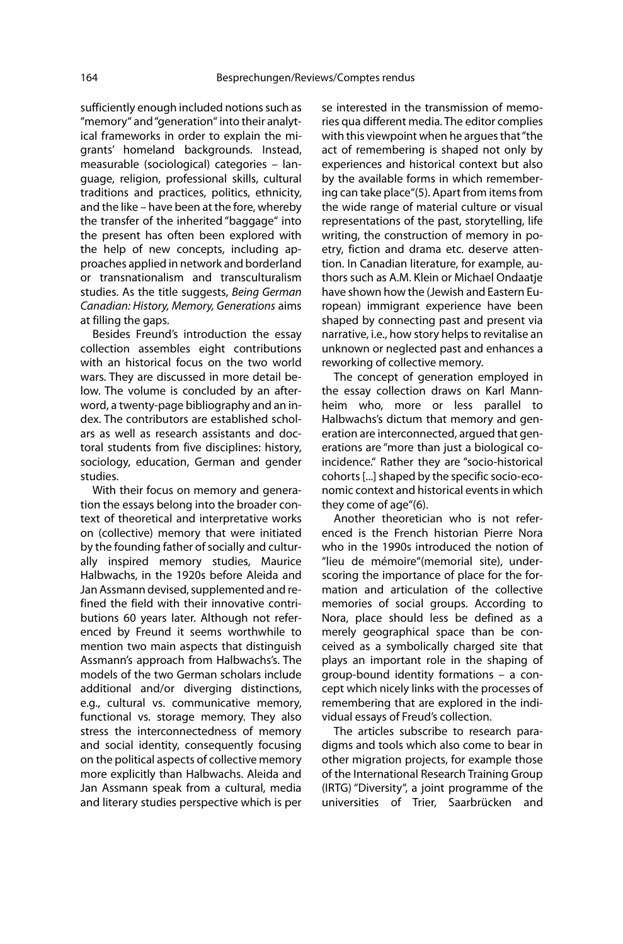sufficiently enough included notions such as "memory" and "generation" into their analytical frameworks in order to explain the migrants' homeland backgrounds. Instead, measurable (sociological) categories – language, religion, professional skills, cultural traditions and practices, politics, ethnicity, and the like – have been at the fore, whereby the transfer of the inherited "baggage" into the present has often been explored with the help of new concepts, including approaches applied in network and borderland or transnationalism and transculturalism studies. As the title suggests, Being German Canadian: History, Memory, Generations aims at filling the gaps.

Besides Freund's introduction the essay collection assembles eight contributions with an historical focus on the two world wars. They are discussed in more detail below. The volume is concluded by an afterword, a twenty-page bibliography and an index. The contributors are established scholars as well as research assistants and doctoral students from five disciplines: history, sociology, education, German and gender studies.

With their focus on memory and generation the essays belong into the broader context of theoretical and interpretative works on (collective) memory that were initiated by the founding father of socially and culturally inspired memory studies, Maurice Halbwachs, in the 1920s before Aleida and Jan Assmann devised, supplemented and refined the field with their innovative contributions 60 years later. Although not referenced by Freund it seems worthwhile to mention two main aspects that distinguish Assmann's approach from Halbwachs's. The models of the two German scholars include additional and/or diverging distinctions, e.g., cultural vs. communicative memory, functional vs. storage memory. They also stress the interconnectedness of memory and social identity, consequently focusing on the political aspects of collective memory more explicitly than Halbwachs. Aleida and Jan Assmann speak from a cultural, media and literary studies perspective which is per

se interested in the transmission of memories qua different media. The editor complies with this viewpoint when he argues that "the act of remembering is shaped not only by experiences and historical context but also by the available forms in which remembering can take place"(5). Apart from items from the wide range of material culture or visual representations of the past, storytelling, life writing, the construction of memory in poetry, fiction and drama etc. deserve attention. In Canadian literature, for example, authors such as A.M. Klein or Michael Ondaatje have shown how the (Jewish and Eastern European) immigrant experience have been shaped by connecting past and present via narrative, i.e., how story helps to revitalise an unknown or neglected past and enhances a reworking of collective memory.

The concept of generation employed in the essay collection draws on Karl Mannheim who, more or less parallel to Halbwachs's dictum that memory and generation are interconnected, argued that generations are "more than just a biological coincidence." Rather they are "socio-historical cohorts [...] shaped by the specific socio-economic context and historical events in which they come of age"(6).

Another theoretician who is not referenced is the French historian Pierre Nora who in the 1990s introduced the notion of "lieu de mémoire"(memorial site), underscoring the importance of place for the formation and articulation of the collective memories of social groups. According to Nora, place should less be defined as a merely geographical space than be conceived as a symbolically charged site that plays an important role in the shaping of group-bound identity formations – a concept which nicely links with the processes of remembering that are explored in the individual essays of Freud's collection.

The articles subscribe to research paradigms and tools which also come to bear in other migration projects, for example those of the International Research Training Group (IRTG) "Diversity", a joint programme of the universities of Trier, Saarbrücken and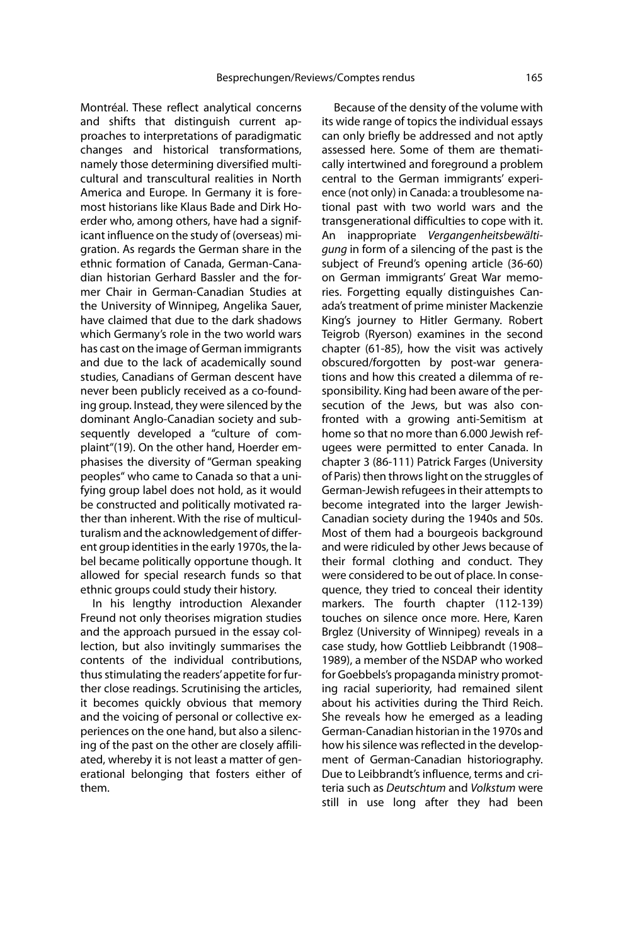Montréal. These reflect analytical concerns and shifts that distinguish current approaches to interpretations of paradigmatic changes and historical transformations, namely those determining diversified multicultural and transcultural realities in North America and Europe. In Germany it is foremost historians like Klaus Bade and Dirk Hoerder who, among others, have had a significant influence on the study of (overseas) migration. As regards the German share in the ethnic formation of Canada, German-Canadian historian Gerhard Bassler and the former Chair in German-Canadian Studies at the University of Winnipeg, Angelika Sauer, have claimed that due to the dark shadows which Germany's role in the two world wars has cast on the image of German immigrants and due to the lack of academically sound studies, Canadians of German descent have never been publicly received as a co-founding group. Instead, they were silenced by the dominant Anglo-Canadian society and subsequently developed a "culture of complaint"(19). On the other hand, Hoerder emphasises the diversity of "German speaking peoples" who came to Canada so that a unifying group label does not hold, as it would be constructed and politically motivated rather than inherent. With the rise of multiculturalism and the acknowledgement of different group identities in the early 1970s, the label became politically opportune though. It allowed for special research funds so that ethnic groups could study their history.

In his lengthy introduction Alexander Freund not only theorises migration studies and the approach pursued in the essay collection, but also invitingly summarises the contents of the individual contributions, thus stimulating the readers' appetite for further close readings. Scrutinising the articles, it becomes quickly obvious that memory and the voicing of personal or collective experiences on the one hand, but also a silencing of the past on the other are closely affiliated, whereby it is not least a matter of generational belonging that fosters either of them.

Because of the density of the volume with its wide range of topics the individual essays can only briefly be addressed and not aptly assessed here. Some of them are thematically intertwined and foreground a problem central to the German immigrants' experience (not only) in Canada: a troublesome national past with two world wars and the transgenerational difficulties to cope with it. An inappropriate Vergangenheitsbewältigung in form of a silencing of the past is the subject of Freund's opening article (36-60) on German immigrants' Great War memories. Forgetting equally distinguishes Canada's treatment of prime minister Mackenzie King's journey to Hitler Germany. Robert Teigrob (Ryerson) examines in the second chapter (61-85), how the visit was actively obscured/forgotten by post-war generations and how this created a dilemma of responsibility. King had been aware of the persecution of the Jews, but was also confronted with a growing anti-Semitism at home so that no more than 6.000 Jewish refugees were permitted to enter Canada. In chapter 3 (86-111) Patrick Farges (University of Paris) then throws light on the struggles of German-Jewish refugees in their attempts to become integrated into the larger Jewish-Canadian society during the 1940s and 50s. Most of them had a bourgeois background and were ridiculed by other Jews because of their formal clothing and conduct. They were considered to be out of place. In consequence, they tried to conceal their identity markers. The fourth chapter (112-139) touches on silence once more. Here, Karen Brglez (University of Winnipeg) reveals in a case study, how Gottlieb Leibbrandt (1908– 1989), a member of the NSDAP who worked for Goebbels's propaganda ministry promoting racial superiority, had remained silent about his activities during the Third Reich. She reveals how he emerged as a leading German-Canadian historian in the 1970s and how his silence was reflected in the development of German-Canadian historiography. Due to Leibbrandt's influence, terms and criteria such as Deutschtum and Volkstum were still in use long after they had been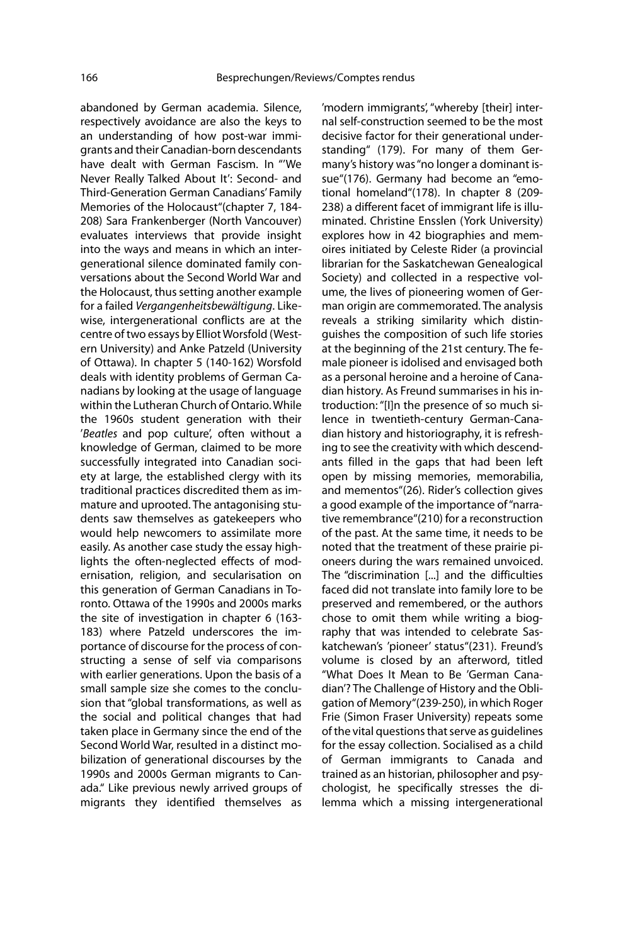abandoned by German academia. Silence, respectively avoidance are also the keys to an understanding of how post-war immigrants and their Canadian-born descendants have dealt with German Fascism. In "'We Never Really Talked About It': Second- and Third-Generation German Canadians' Family Memories of the Holocaust"(chapter 7, 184- 208) Sara Frankenberger (North Vancouver) evaluates interviews that provide insight into the ways and means in which an intergenerational silence dominated family conversations about the Second World War and the Holocaust, thus setting another example for a failed Vergangenheitsbewältigung. Likewise, intergenerational conflicts are at the centre of two essays by Elliot Worsfold (Western University) and Anke Patzeld (University of Ottawa). In chapter 5 (140-162) Worsfold deals with identity problems of German Canadians by looking at the usage of language within the Lutheran Church of Ontario. While the 1960s student generation with their 'Beatles and pop culture', often without a knowledge of German, claimed to be more successfully integrated into Canadian society at large, the established clergy with its traditional practices discredited them as immature and uprooted. The antagonising students saw themselves as gatekeepers who would help newcomers to assimilate more easily. As another case study the essay highlights the often-neglected effects of modernisation, religion, and secularisation on this generation of German Canadians in Toronto. Ottawa of the 1990s and 2000s marks the site of investigation in chapter 6 (163- 183) where Patzeld underscores the importance of discourse for the process of constructing a sense of self via comparisons with earlier generations. Upon the basis of a small sample size she comes to the conclusion that "global transformations, as well as the social and political changes that had taken place in Germany since the end of the Second World War, resulted in a distinct mobilization of generational discourses by the 1990s and 2000s German migrants to Canada." Like previous newly arrived groups of migrants they identified themselves as

'modern immigrants', "whereby [their] internal self-construction seemed to be the most decisive factor for their generational understanding" (179). For many of them Germany's history was "no longer a dominant issue"(176). Germany had become an "emotional homeland"(178). In chapter 8 (209- 238) a different facet of immigrant life is illuminated. Christine Ensslen (York University) explores how in 42 biographies and memoires initiated by Celeste Rider (a provincial librarian for the Saskatchewan Genealogical Society) and collected in a respective volume, the lives of pioneering women of German origin are commemorated. The analysis reveals a striking similarity which distinguishes the composition of such life stories at the beginning of the 21st century. The female pioneer is idolised and envisaged both as a personal heroine and a heroine of Canadian history. As Freund summarises in his introduction: "[I]n the presence of so much silence in twentieth-century German-Canadian history and historiography, it is refreshing to see the creativity with which descendants filled in the gaps that had been left open by missing memories, memorabilia, and mementos"(26). Rider's collection gives a good example of the importance of "narrative remembrance"(210) for a reconstruction of the past. At the same time, it needs to be noted that the treatment of these prairie pioneers during the wars remained unvoiced. The "discrimination [...] and the difficulties faced did not translate into family lore to be preserved and remembered, or the authors chose to omit them while writing a biography that was intended to celebrate Saskatchewan's 'pioneer' status"(231). Freund's volume is closed by an afterword, titled "What Does It Mean to Be 'German Canadian'? The Challenge of History and the Obligation of Memory"(239-250), in which Roger Frie (Simon Fraser University) repeats some of the vital questions that serve as guidelines for the essay collection. Socialised as a child of German immigrants to Canada and trained as an historian, philosopher and psychologist, he specifically stresses the dilemma which a missing intergenerational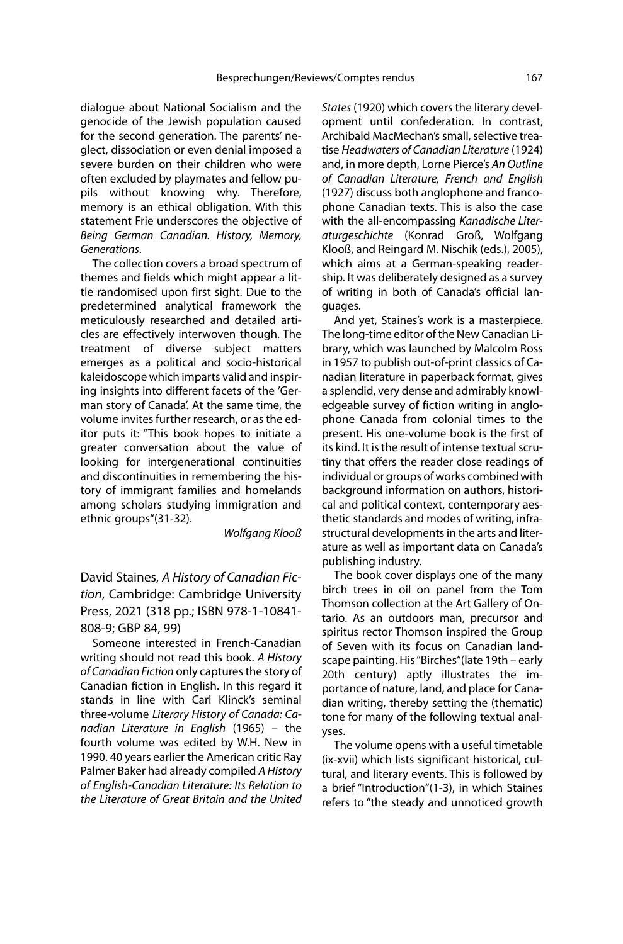dialogue about National Socialism and the genocide of the Jewish population caused for the second generation. The parents' neglect, dissociation or even denial imposed a severe burden on their children who were often excluded by playmates and fellow pupils without knowing why. Therefore, memory is an ethical obligation. With this statement Frie underscores the objective of Being German Canadian. History, Memory, Generations.

The collection covers a broad spectrum of themes and fields which might appear a little randomised upon first sight. Due to the predetermined analytical framework the meticulously researched and detailed articles are effectively interwoven though. The treatment of diverse subject matters emerges as a political and socio-historical kaleidoscope which imparts valid and inspiring insights into different facets of the 'German story of Canada'. At the same time, the volume invites further research, or as the editor puts it: "This book hopes to initiate a greater conversation about the value of looking for intergenerational continuities and discontinuities in remembering the history of immigrant families and homelands among scholars studying immigration and ethnic groups"(31-32).

Wolfgang Klooß

David Staines, A History of Canadian Fiction, Cambridge: Cambridge University Press, 2021 (318 pp.; ISBN 978-1-10841- 808-9; GBP 84, 99)

Someone interested in French-Canadian writing should not read this book. A History of Canadian Fiction only captures the story of Canadian fiction in English. In this regard it stands in line with Carl Klinck's seminal three-volume Literary History of Canada: Canadian Literature in English (1965) – the fourth volume was edited by W.H. New in 1990. 40 years earlier the American critic Ray Palmer Baker had already compiled A History of English-Canadian Literature: Its Relation to the Literature of Great Britain and the United

States (1920) which covers the literary development until confederation. In contrast, Archibald MacMechan's small, selective treatise Headwaters of Canadian Literature (1924) and, in more depth, Lorne Pierce's An Outline of Canadian Literature, French and English (1927) discuss both anglophone and francophone Canadian texts. This is also the case with the all-encompassing Kanadische Literaturgeschichte (Konrad Groß, Wolfgang Klooß, and Reingard M. Nischik (eds.), 2005), which aims at a German-speaking readership. It was deliberately designed as a survey of writing in both of Canada's official languages.

And yet, Staines's work is a masterpiece. The long-time editor of the New Canadian Library, which was launched by Malcolm Ross in 1957 to publish out-of-print classics of Canadian literature in paperback format, gives a splendid, very dense and admirably knowledgeable survey of fiction writing in anglophone Canada from colonial times to the present. His one-volume book is the first of its kind. It is the result of intense textual scrutiny that offers the reader close readings of individual or groups of works combined with background information on authors, historical and political context, contemporary aesthetic standards and modes of writing, infrastructural developments in the arts and literature as well as important data on Canada's publishing industry.

The book cover displays one of the many birch trees in oil on panel from the Tom Thomson collection at the Art Gallery of Ontario. As an outdoors man, precursor and spiritus rector Thomson inspired the Group of Seven with its focus on Canadian landscape painting. His "Birches"(late 19th – early 20th century) aptly illustrates the importance of nature, land, and place for Canadian writing, thereby setting the (thematic) tone for many of the following textual analyses.

The volume opens with a useful timetable (ix-xvii) which lists significant historical, cultural, and literary events. This is followed by a brief "Introduction"(1-3), in which Staines refers to "the steady and unnoticed growth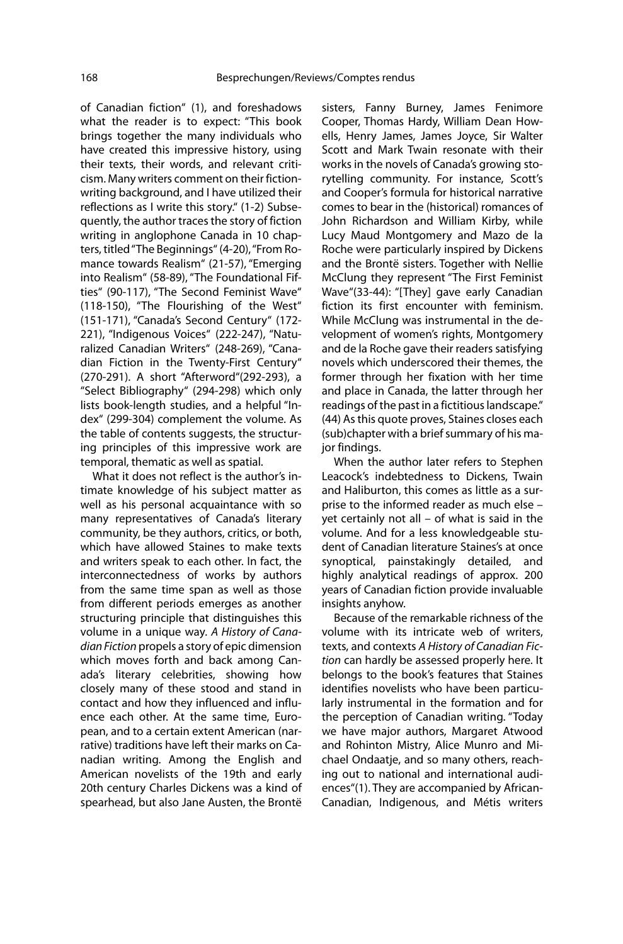of Canadian fiction" (1), and foreshadows what the reader is to expect: "This book brings together the many individuals who have created this impressive history, using their texts, their words, and relevant criticism. Many writers comment on their fictionwriting background, and I have utilized their reflections as I write this story." (1-2) Subsequently, the author traces the story of fiction writing in anglophone Canada in 10 chapters, titled "The Beginnings" (4-20), "From Romance towards Realism" (21-57), "Emerging into Realism" (58-89), "The Foundational Fifties" (90-117), "The Second Feminist Wave" (118-150), "The Flourishing of the West" (151-171), "Canada's Second Century" (172- 221), "Indigenous Voices" (222-247), "Naturalized Canadian Writers" (248-269), "Canadian Fiction in the Twenty-First Century" (270-291). A short "Afterword"(292-293), a "Select Bibliography" (294-298) which only lists book-length studies, and a helpful "Index" (299-304) complement the volume. As the table of contents suggests, the structuring principles of this impressive work are temporal, thematic as well as spatial.

What it does not reflect is the author's intimate knowledge of his subject matter as well as his personal acquaintance with so many representatives of Canada's literary community, be they authors, critics, or both, which have allowed Staines to make texts and writers speak to each other. In fact, the interconnectedness of works by authors from the same time span as well as those from different periods emerges as another structuring principle that distinguishes this volume in a unique way. A History of Canadian Fiction propels a story of epic dimension which moves forth and back among Canada's literary celebrities, showing how closely many of these stood and stand in contact and how they influenced and influence each other. At the same time, European, and to a certain extent American (narrative) traditions have left their marks on Canadian writing. Among the English and American novelists of the 19th and early 20th century Charles Dickens was a kind of spearhead, but also Jane Austen, the Brontë

sisters, Fanny Burney, James Fenimore Cooper, Thomas Hardy, William Dean Howells, Henry James, James Joyce, Sir Walter Scott and Mark Twain resonate with their works in the novels of Canada's growing storytelling community. For instance, Scott's and Cooper's formula for historical narrative comes to bear in the (historical) romances of John Richardson and William Kirby, while Lucy Maud Montgomery and Mazo de la Roche were particularly inspired by Dickens and the Brontë sisters. Together with Nellie McClung they represent "The First Feminist Wave"(33-44): "[They] gave early Canadian fiction its first encounter with feminism. While McClung was instrumental in the development of women's rights, Montgomery and de la Roche gave their readers satisfying novels which underscored their themes, the former through her fixation with her time and place in Canada, the latter through her readings of the past in a fictitious landscape." (44) As this quote proves, Staines closes each (sub)chapter with a brief summary of his major findings.

When the author later refers to Stephen Leacock's indebtedness to Dickens, Twain and Haliburton, this comes as little as a surprise to the informed reader as much else – yet certainly not all – of what is said in the volume. And for a less knowledgeable student of Canadian literature Staines's at once synoptical, painstakingly detailed, and highly analytical readings of approx. 200 years of Canadian fiction provide invaluable insights anyhow.

Because of the remarkable richness of the volume with its intricate web of writers, texts, and contexts A History of Canadian Fiction can hardly be assessed properly here. It belongs to the book's features that Staines identifies novelists who have been particularly instrumental in the formation and for the perception of Canadian writing. "Today we have major authors, Margaret Atwood and Rohinton Mistry, Alice Munro and Michael Ondaatje, and so many others, reaching out to national and international audiences"(1). They are accompanied by African-Canadian, Indigenous, and Métis writers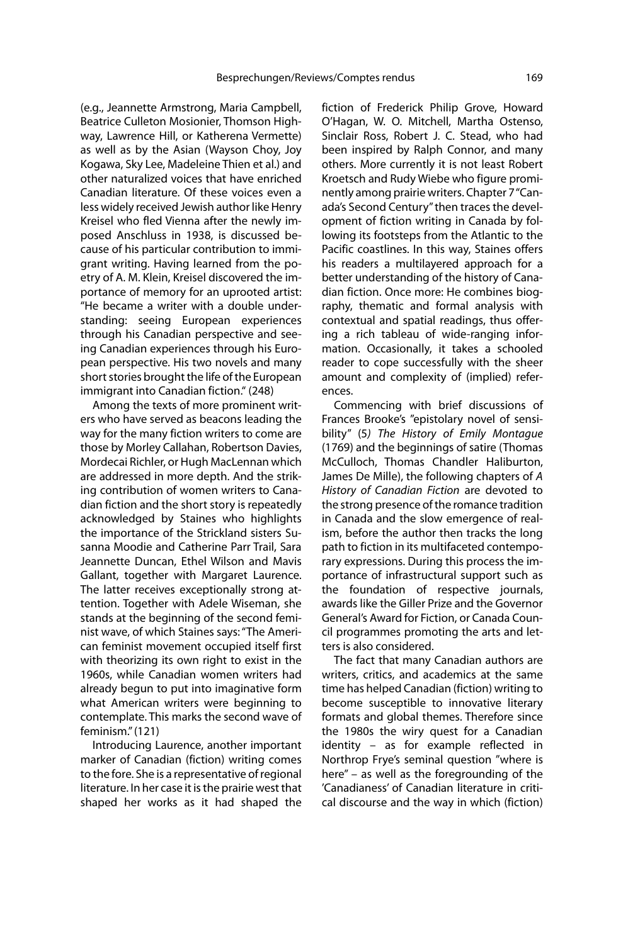(e.g., Jeannette Armstrong, Maria Campbell, Beatrice Culleton Mosionier, Thomson Highway, Lawrence Hill, or Katherena Vermette) as well as by the Asian (Wayson Choy, Joy Kogawa, Sky Lee, Madeleine Thien et al.) and other naturalized voices that have enriched Canadian literature. Of these voices even a less widely received Jewish author like Henry Kreisel who fled Vienna after the newly imposed Anschluss in 1938, is discussed because of his particular contribution to immigrant writing. Having learned from the poetry of A. M. Klein, Kreisel discovered the importance of memory for an uprooted artist: "He became a writer with a double understanding: seeing European experiences through his Canadian perspective and seeing Canadian experiences through his European perspective. His two novels and many short stories brought the life of the European immigrant into Canadian fiction." (248)

Among the texts of more prominent writers who have served as beacons leading the way for the many fiction writers to come are those by Morley Callahan, Robertson Davies, Mordecai Richler, or Hugh MacLennan which are addressed in more depth. And the striking contribution of women writers to Canadian fiction and the short story is repeatedly acknowledged by Staines who highlights the importance of the Strickland sisters Susanna Moodie and Catherine Parr Trail, Sara Jeannette Duncan, Ethel Wilson and Mavis Gallant, together with Margaret Laurence. The latter receives exceptionally strong attention. Together with Adele Wiseman, she stands at the beginning of the second feminist wave, of which Staines says: "The American feminist movement occupied itself first with theorizing its own right to exist in the 1960s, while Canadian women writers had already begun to put into imaginative form what American writers were beginning to contemplate. This marks the second wave of feminism." (121)

Introducing Laurence, another important marker of Canadian (fiction) writing comes to the fore. She is a representative of regional literature. In her case it is the prairie west that shaped her works as it had shaped the fiction of Frederick Philip Grove, Howard O'Hagan, W. O. Mitchell, Martha Ostenso, Sinclair Ross, Robert J. C. Stead, who had been inspired by Ralph Connor, and many others. More currently it is not least Robert Kroetsch and Rudy Wiebe who figure prominently among prairie writers. Chapter 7 "Canada's Second Century" then traces the development of fiction writing in Canada by following its footsteps from the Atlantic to the Pacific coastlines. In this way, Staines offers his readers a multilayered approach for a better understanding of the history of Canadian fiction. Once more: He combines biography, thematic and formal analysis with contextual and spatial readings, thus offering a rich tableau of wide-ranging information. Occasionally, it takes a schooled reader to cope successfully with the sheer amount and complexity of (implied) references.

Commencing with brief discussions of Frances Brooke's "epistolary novel of sensibility" (5) The History of Emily Montague (1769) and the beginnings of satire (Thomas McCulloch, Thomas Chandler Haliburton, James De Mille), the following chapters of A History of Canadian Fiction are devoted to the strong presence of the romance tradition in Canada and the slow emergence of realism, before the author then tracks the long path to fiction in its multifaceted contemporary expressions. During this process the importance of infrastructural support such as the foundation of respective journals, awards like the Giller Prize and the Governor General's Award for Fiction, or Canada Council programmes promoting the arts and letters is also considered.

The fact that many Canadian authors are writers, critics, and academics at the same time has helped Canadian (fiction) writing to become susceptible to innovative literary formats and global themes. Therefore since the 1980s the wiry quest for a Canadian identity – as for example reflected in Northrop Frye's seminal question "where is here" – as well as the foregrounding of the 'Canadianess' of Canadian literature in critical discourse and the way in which (fiction)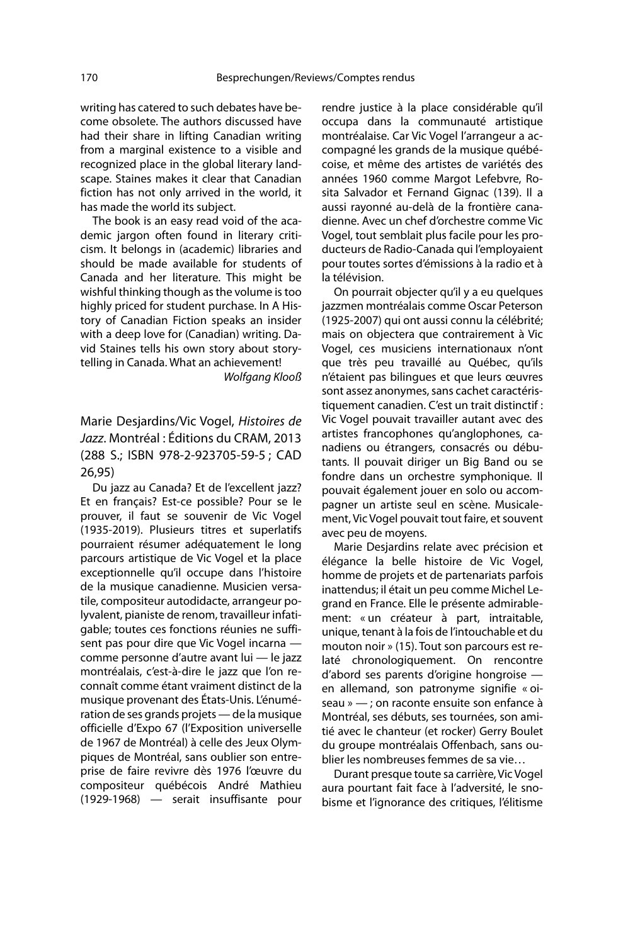writing has catered to such debates have become obsolete. The authors discussed have had their share in lifting Canadian writing from a marginal existence to a visible and recognized place in the global literary landscape. Staines makes it clear that Canadian fiction has not only arrived in the world, it has made the world its subject.

The book is an easy read void of the academic jargon often found in literary criticism. It belongs in (academic) libraries and should be made available for students of Canada and her literature. This might be wishful thinking though as the volume is too highly priced for student purchase. In A History of Canadian Fiction speaks an insider with a deep love for (Canadian) writing. David Staines tells his own story about storytelling in Canada. What an achievement!

Wolfgang Klooß

Marie Desjardins/Vic Vogel, Histoires de Jazz. Montréal : Éditions du CRAM, 2013 (288 S.; ISBN 978-2-923705-59-5 ; CAD 26,95)

Du jazz au Canada? Et de l'excellent jazz? Et en français? Est-ce possible? Pour se le prouver, il faut se souvenir de Vic Vogel (1935-2019). Plusieurs titres et superlatifs pourraient résumer adéquatement le long parcours artistique de Vic Vogel et la place exceptionnelle qu'il occupe dans l'histoire de la musique canadienne. Musicien versatile, compositeur autodidacte, arrangeur polyvalent, pianiste de renom, travailleur infatigable; toutes ces fonctions réunies ne suffisent pas pour dire que Vic Vogel incarna comme personne d'autre avant lui — le jazz montréalais, c'est-à-dire le jazz que l'on reconnaît comme étant vraiment distinct de la musique provenant des États-Unis. L'énumération de ses grands projets — de la musique officielle d'Expo 67 (l'Exposition universelle de 1967 de Montréal) à celle des Jeux Olympiques de Montréal, sans oublier son entreprise de faire revivre dès 1976 l'œuvre du compositeur québécois André Mathieu (1929-1968) — serait insuffisante pour rendre justice à la place considérable qu'il occupa dans la communauté artistique montréalaise. Car Vic Vogel l'arrangeur a accompagné les grands de la musique québécoise, et même des artistes de variétés des années 1960 comme Margot Lefebvre, Rosita Salvador et Fernand Gignac (139). Il a aussi rayonné au-delà de la frontière canadienne. Avec un chef d'orchestre comme Vic Vogel, tout semblait plus facile pour les producteurs de Radio-Canada qui l'employaient pour toutes sortes d'émissions à la radio et à la télévision.

On pourrait objecter qu'il y a eu quelques jazzmen montréalais comme Oscar Peterson (1925-2007) qui ont aussi connu la célébrité; mais on objectera que contrairement à Vic Vogel, ces musiciens internationaux n'ont que très peu travaillé au Québec, qu'ils n'étaient pas bilingues et que leurs œuvres sont assez anonymes, sans cachet caractéristiquement canadien. C'est un trait distinctif : Vic Vogel pouvait travailler autant avec des artistes francophones qu'anglophones, canadiens ou étrangers, consacrés ou débutants. Il pouvait diriger un Big Band ou se fondre dans un orchestre symphonique. Il pouvait également jouer en solo ou accompagner un artiste seul en scène. Musicalement, Vic Vogel pouvait tout faire, et souvent avec peu de moyens.

Marie Desjardins relate avec précision et élégance la belle histoire de Vic Vogel, homme de projets et de partenariats parfois inattendus; il était un peu comme Michel Legrand en France. Elle le présente admirablement: « un créateur à part, intraitable, unique, tenant à la fois de l'intouchable et du mouton noir » (15). Tout son parcours est relaté chronologiquement. On rencontre d'abord ses parents d'origine hongroise en allemand, son patronyme signifie « oiseau » — ; on raconte ensuite son enfance à Montréal, ses débuts, ses tournées, son amitié avec le chanteur (et rocker) Gerry Boulet du groupe montréalais Offenbach, sans oublier les nombreuses femmes de sa vie…

Durant presque toute sa carrière, Vic Vogel aura pourtant fait face à l'adversité, le snobisme et l'ignorance des critiques, l'élitisme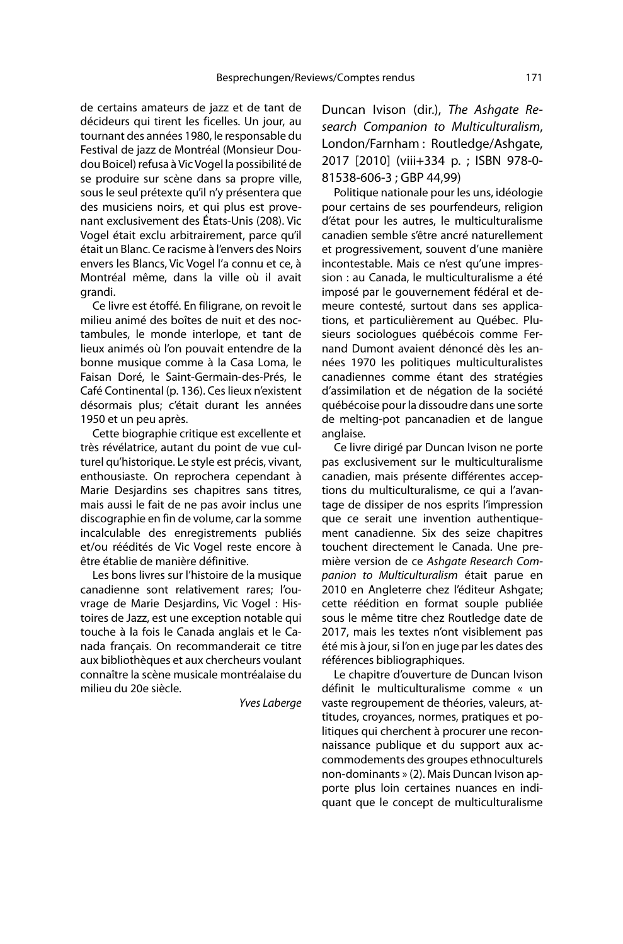de certains amateurs de jazz et de tant de décideurs qui tirent les ficelles. Un jour, au tournant des années 1980, le responsable du Festival de jazz de Montréal (Monsieur Doudou Boicel) refusa à Vic Vogel la possibilité de se produire sur scène dans sa propre ville, sous le seul prétexte qu'il n'y présentera que des musiciens noirs, et qui plus est provenant exclusivement des États-Unis (208). Vic Vogel était exclu arbitrairement, parce qu'il était un Blanc. Ce racisme à l'envers des Noirs envers les Blancs, Vic Vogel l'a connu et ce, à Montréal même, dans la ville où il avait grandi.

Ce livre est étoffé. En filigrane, on revoit le milieu animé des boîtes de nuit et des noctambules, le monde interlope, et tant de lieux animés où l'on pouvait entendre de la bonne musique comme à la Casa Loma, le Faisan Doré, le Saint-Germain-des-Prés, le Café Continental (p. 136). Ces lieux n'existent désormais plus; c'était durant les années 1950 et un peu après.

Cette biographie critique est excellente et très révélatrice, autant du point de vue culturel qu'historique. Le style est précis, vivant, enthousiaste. On reprochera cependant à Marie Desjardins ses chapitres sans titres, mais aussi le fait de ne pas avoir inclus une discographie en fin de volume, car la somme incalculable des enregistrements publiés et/ou réédités de Vic Vogel reste encore à être établie de manière définitive.

Les bons livres sur l'histoire de la musique canadienne sont relativement rares; l'ouvrage de Marie Desjardins, Vic Vogel : Histoires de Jazz, est une exception notable qui touche à la fois le Canada anglais et le Canada français. On recommanderait ce titre aux bibliothèques et aux chercheurs voulant connaître la scène musicale montréalaise du milieu du 20e siècle.

Yves Laberge

Duncan Ivison (dir.), The Ashgate Research Companion to Multiculturalism, London/Farnham : Routledge/Ashgate, 2017 [2010] (viii+334 p. ; ISBN 978-0- 81538-606-3 ; GBP 44,99)

Politique nationale pour les uns, idéologie pour certains de ses pourfendeurs, religion d'état pour les autres, le multiculturalisme canadien semble s'être ancré naturellement et progressivement, souvent d'une manière incontestable. Mais ce n'est qu'une impression : au Canada, le multiculturalisme a été imposé par le gouvernement fédéral et demeure contesté, surtout dans ses applications, et particulièrement au Québec. Plusieurs sociologues québécois comme Fernand Dumont avaient dénoncé dès les années 1970 les politiques multiculturalistes canadiennes comme étant des stratégies d'assimilation et de négation de la société québécoise pour la dissoudre dans une sorte de melting-pot pancanadien et de langue anglaise.

Ce livre dirigé par Duncan Ivison ne porte pas exclusivement sur le multiculturalisme canadien, mais présente différentes acceptions du multiculturalisme, ce qui a l'avantage de dissiper de nos esprits l'impression que ce serait une invention authentiquement canadienne. Six des seize chapitres touchent directement le Canada. Une première version de ce Ashgate Research Companion to Multiculturalism était parue en 2010 en Angleterre chez l'éditeur Ashgate; cette réédition en format souple publiée sous le même titre chez Routledge date de 2017, mais les textes n'ont visiblement pas été mis à jour, si l'on en juge par les dates des références bibliographiques.

Le chapitre d'ouverture de Duncan Ivison définit le multiculturalisme comme « un vaste regroupement de théories, valeurs, attitudes, croyances, normes, pratiques et politiques qui cherchent à procurer une reconnaissance publique et du support aux accommodements des groupes ethnoculturels non-dominants » (2). Mais Duncan Ivison apporte plus loin certaines nuances en indiquant que le concept de multiculturalisme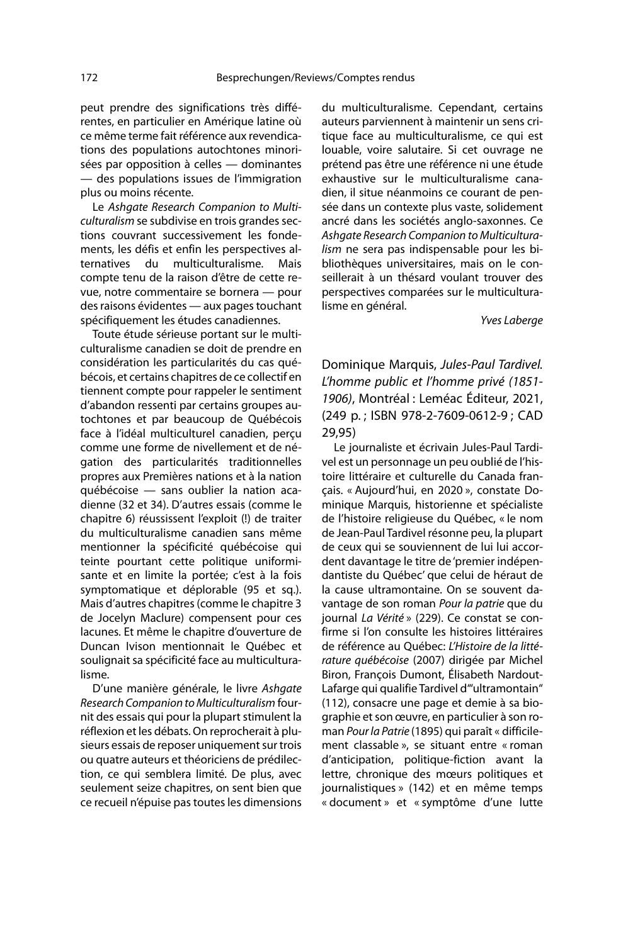peut prendre des significations très différentes, en particulier en Amérique latine où ce même terme fait référence aux revendications des populations autochtones minorisées par opposition à celles — dominantes — des populations issues de l'immigration plus ou moins récente.

Le Ashgate Research Companion to Multiculturalism se subdivise en trois grandes sections couvrant successivement les fondements, les défis et enfin les perspectives alternatives du multiculturalisme. Mais compte tenu de la raison d'être de cette revue, notre commentaire se bornera — pour des raisons évidentes — aux pages touchant spécifiquement les études canadiennes.

Toute étude sérieuse portant sur le multiculturalisme canadien se doit de prendre en considération les particularités du cas québécois, et certains chapitres de ce collectif en tiennent compte pour rappeler le sentiment d'abandon ressenti par certains groupes autochtones et par beaucoup de Québécois face à l'idéal multiculturel canadien, perçu comme une forme de nivellement et de négation des particularités traditionnelles propres aux Premières nations et à la nation québécoise — sans oublier la nation acadienne (32 et 34). D'autres essais (comme le chapitre 6) réussissent l'exploit (!) de traiter du multiculturalisme canadien sans même mentionner la spécificité québécoise qui teinte pourtant cette politique uniformisante et en limite la portée; c'est à la fois symptomatique et déplorable (95 et sq.). Mais d'autres chapitres (comme le chapitre 3 de Jocelyn Maclure) compensent pour ces lacunes. Et même le chapitre d'ouverture de Duncan Ivison mentionnait le Québec et soulignait sa spécificité face au multiculturalisme.

D'une manière générale, le livre Ashgate Research Companion to Multiculturalism fournit des essais qui pour la plupart stimulent la réflexion et les débats. On reprocherait à plusieurs essais de reposer uniquement sur trois ou quatre auteurs et théoriciens de prédilection, ce qui semblera limité. De plus, avec seulement seize chapitres, on sent bien que ce recueil n'épuise pas toutes les dimensions

du multiculturalisme. Cependant, certains auteurs parviennent à maintenir un sens critique face au multiculturalisme, ce qui est louable, voire salutaire. Si cet ouvrage ne prétend pas être une référence ni une étude exhaustive sur le multiculturalisme canadien, il situe néanmoins ce courant de pensée dans un contexte plus vaste, solidement ancré dans les sociétés anglo-saxonnes. Ce Ashgate Research Companion to Multiculturalism ne sera pas indispensable pour les bibliothèques universitaires, mais on le conseillerait à un thésard voulant trouver des perspectives comparées sur le multiculturalisme en général.

Yves Laberge

Dominique Marquis, Jules-Paul Tardivel. L'homme public et l'homme privé (1851- 1906), Montréal : Leméac Éditeur, 2021, (249 p. ; ISBN 978-2-7609-0612-9 ; CAD 29,95)

Le journaliste et écrivain Jules-Paul Tardivel est un personnage un peu oublié de l'histoire littéraire et culturelle du Canada français. « Aujourd'hui, en 2020 », constate Dominique Marquis, historienne et spécialiste de l'histoire religieuse du Québec, « le nom de Jean-Paul Tardivel résonne peu, la plupart de ceux qui se souviennent de lui lui accordent davantage le titre de 'premier indépendantiste du Québec' que celui de héraut de la cause ultramontaine. On se souvent davantage de son roman Pour la patrie que du journal La Vérité » (229). Ce constat se confirme si l'on consulte les histoires littéraires de référence au Québec: L'Histoire de la littérature québécoise (2007) dirigée par Michel Biron, François Dumont, Élisabeth Nardout-Lafarge qui qualifie Tardivel d'"ultramontain" (112), consacre une page et demie à sa biographie et son œuvre, en particulier à son roman Pour la Patrie (1895) qui paraît « difficilement classable », se situant entre « roman d'anticipation, politique-fiction avant la lettre, chronique des mœurs politiques et journalistiques » (142) et en même temps « document » et « symptôme d'une lutte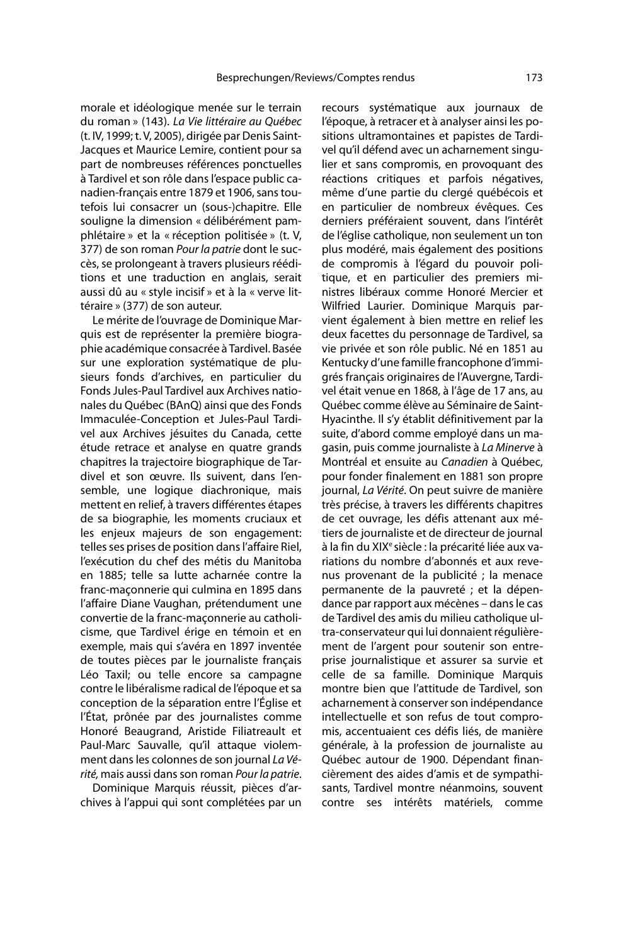morale et idéologique menée sur le terrain du roman » (143). La Vie littéraire au Québec (t. IV, 1999; t. V, 2005), dirigée par Denis Saint-Jacques et Maurice Lemire, contient pour sa part de nombreuses références ponctuelles à Tardivel et son rôle dans l'espace public canadien-français entre 1879 et 1906, sans toutefois lui consacrer un (sous-)chapitre. Elle souligne la dimension « délibérément pamphlétaire » et la « réception politisée » (t. V, 377) de son roman Pour la patrie dont le succès, se prolongeant à travers plusieurs rééditions et une traduction en anglais, serait aussi dû au « style incisif » et à la « verve littéraire » (377) de son auteur.

Le mérite de l'ouvrage de Dominique Marquis est de représenter la première biographie académique consacrée à Tardivel. Basée sur une exploration systématique de plusieurs fonds d'archives, en particulier du Fonds Jules-Paul Tardivel aux Archives nationales du Québec (BAnQ) ainsi que des Fonds Immaculée-Conception et Jules-Paul Tardivel aux Archives jésuites du Canada, cette étude retrace et analyse en quatre grands chapitres la trajectoire biographique de Tardivel et son œuvre. Ils suivent, dans l'ensemble, une logique diachronique, mais mettent en relief, à travers différentes étapes de sa biographie, les moments cruciaux et les enjeux majeurs de son engagement: telles ses prises de position dans l'affaire Riel, l'exécution du chef des métis du Manitoba en 1885; telle sa lutte acharnée contre la franc-maçonnerie qui culmina en 1895 dans l'affaire Diane Vaughan, prétendument une convertie de la franc-maçonnerie au catholicisme, que Tardivel érige en témoin et en exemple, mais qui s'avéra en 1897 inventée de toutes pièces par le journaliste français Léo Taxil; ou telle encore sa campagne contre le libéralisme radical de l'époque et sa conception de la séparation entre l'Église et l'État, prônée par des journalistes comme Honoré Beaugrand, Aristide Filiatreault et Paul-Marc Sauvalle, qu'il attaque violemment dans les colonnes de son journal La Vérité, mais aussi dans son roman Pour la patrie.

Dominique Marquis réussit, pièces d'archives à l'appui qui sont complétées par un recours systématique aux journaux de l'époque, à retracer et à analyser ainsi les positions ultramontaines et papistes de Tardivel qu'il défend avec un acharnement singulier et sans compromis, en provoquant des réactions critiques et parfois négatives, même d'une partie du clergé québécois et en particulier de nombreux évêques. Ces derniers préféraient souvent, dans l'intérêt de l'église catholique, non seulement un ton plus modéré, mais également des positions de compromis à l'égard du pouvoir politique, et en particulier des premiers ministres libéraux comme Honoré Mercier et Wilfried Laurier. Dominique Marquis parvient également à bien mettre en relief les deux facettes du personnage de Tardivel, sa vie privée et son rôle public. Né en 1851 au Kentucky d'une famille francophone d'immigrés français originaires de l'Auvergne, Tardivel était venue en 1868, à l'âge de 17 ans, au Québec comme élève au Séminaire de Saint-Hyacinthe. Il s'y établit définitivement par la suite, d'abord comme employé dans un magasin, puis comme journaliste à La Minerve à Montréal et ensuite au Canadien à Québec, pour fonder finalement en 1881 son propre journal, La Vérité. On peut suivre de manière très précise, à travers les différents chapitres de cet ouvrage, les défis attenant aux métiers de journaliste et de directeur de journal à la fin du XIX<sup>e</sup> siècle : la précarité liée aux variations du nombre d'abonnés et aux revenus provenant de la publicité ; la menace permanente de la pauvreté ; et la dépendance par rapport aux mécènes – dans le cas de Tardivel des amis du milieu catholique ultra-conservateur qui lui donnaient régulièrement de l'argent pour soutenir son entreprise journalistique et assurer sa survie et celle de sa famille. Dominique Marquis montre bien que l'attitude de Tardivel, son acharnement à conserver son indépendance intellectuelle et son refus de tout compromis, accentuaient ces défis liés, de manière générale, à la profession de journaliste au Québec autour de 1900. Dépendant financièrement des aides d'amis et de sympathisants, Tardivel montre néanmoins, souvent contre ses intérêts matériels, comme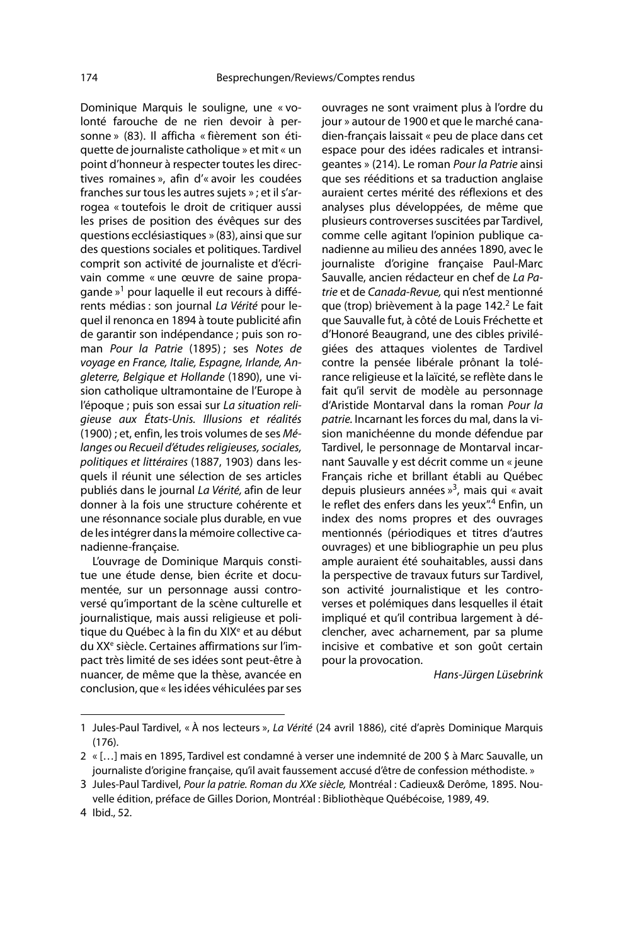Dominique Marquis le souligne, une « volonté farouche de ne rien devoir à personne » (83). Il afficha « fièrement son étiquette de journaliste catholique » et mit « un point d'honneur à respecter toutes les directives romaines », afin d'« avoir les coudées franches sur tous les autres sujets » ; et il s'arrogea « toutefois le droit de critiquer aussi les prises de position des évêques sur des questions ecclésiastiques » (83), ainsi que sur des questions sociales et politiques. Tardivel comprit son activité de journaliste et d'écrivain comme « une œuvre de saine propagande »1 pour laquelle il eut recours à différents médias : son journal La Vérité pour lequel il renonca en 1894 à toute publicité afin de garantir son indépendance ; puis son roman Pour la Patrie (1895) ; ses Notes de voyage en France, Italie, Espagne, Irlande, Angleterre, Belgique et Hollande (1890), une vision catholique ultramontaine de l'Europe à l'époque ; puis son essai sur La situation religieuse aux États-Unis. Illusions et réalités (1900) ; et, enfin, les trois volumes de ses Mélanges ou Recueil d'études religieuses, sociales, politiques et littéraires (1887, 1903) dans lesquels il réunit une sélection de ses articles publiés dans le journal La Vérité, afin de leur donner à la fois une structure cohérente et une résonnance sociale plus durable, en vue de les intégrer dans la mémoire collective canadienne-française.

L'ouvrage de Dominique Marquis constitue une étude dense, bien écrite et documentée, sur un personnage aussi controversé qu'important de la scène culturelle et journalistique, mais aussi religieuse et politique du Québec à la fin du XIX<sup>e</sup> et au début du XXe siècle. Certaines affirmations sur l'impact très limité de ses idées sont peut-être à nuancer, de même que la thèse, avancée en conclusion, que « les idées véhiculées par ses

ouvrages ne sont vraiment plus à l'ordre du jour » autour de 1900 et que le marché canadien-français laissait « peu de place dans cet espace pour des idées radicales et intransigeantes » (214). Le roman Pour la Patrie ainsi que ses rééditions et sa traduction anglaise auraient certes mérité des réflexions et des analyses plus développées, de même que plusieurs controverses suscitées par Tardivel, comme celle agitant l'opinion publique canadienne au milieu des années 1890, avec le journaliste d'origine française Paul-Marc Sauvalle, ancien rédacteur en chef de La Patrie et de Canada-Revue, qui n'est mentionné que (trop) brièvement à la page 142.<sup>2</sup> Le fait que Sauvalle fut, à côté de Louis Fréchette et d'Honoré Beaugrand, une des cibles privilégiées des attaques violentes de Tardivel contre la pensée libérale prônant la tolérance religieuse et la laïcité, se reflète dans le fait qu'il servit de modèle au personnage d'Aristide Montarval dans la roman Pour la patrie. Incarnant les forces du mal, dans la vision manichéenne du monde défendue par Tardivel, le personnage de Montarval incarnant Sauvalle y est décrit comme un « jeune Français riche et brillant établi au Québec depuis plusieurs années  $v^3$ , mais qui « avait le reflet des enfers dans les yeux".<sup>4</sup> Enfin, un index des noms propres et des ouvrages mentionnés (périodiques et titres d'autres ouvrages) et une bibliographie un peu plus ample auraient été souhaitables, aussi dans la perspective de travaux futurs sur Tardivel, son activité journalistique et les controverses et polémiques dans lesquelles il était impliqué et qu'il contribua largement à déclencher, avec acharnement, par sa plume incisive et combative et son goût certain pour la provocation.

Hans-Jürgen Lüsebrink

<sup>1</sup> Jules-Paul Tardivel, « À nos lecteurs », La Vérité (24 avril 1886), cité d'après Dominique Marquis (176).

<sup>2 « […]</sup> mais en 1895, Tardivel est condamné à verser une indemnité de 200 \$ à Marc Sauvalle, un journaliste d'origine française, qu'il avait faussement accusé d'être de confession méthodiste. »

<sup>3</sup> Jules-Paul Tardivel, Pour la patrie. Roman du XXe siècle, Montréal : Cadieux& Derôme, 1895. Nouvelle édition, préface de Gilles Dorion, Montréal : Bibliothèque Québécoise, 1989, 49.

<sup>4</sup> Ibid., 52.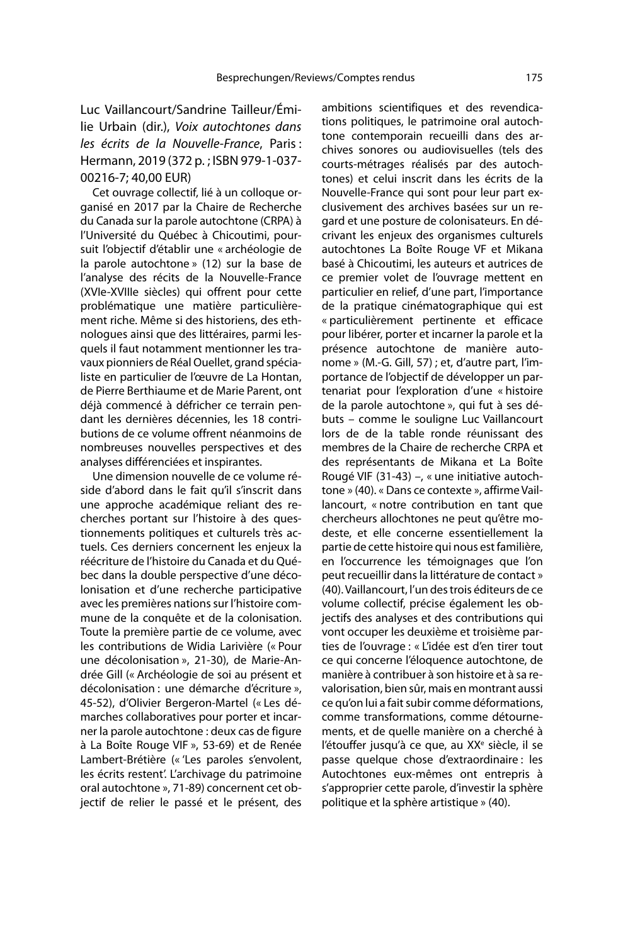Luc Vaillancourt/Sandrine Tailleur/Émilie Urbain (dir.), Voix autochtones dans les écrits de la Nouvelle-France, Paris : Hermann, 2019 (372 p. ; ISBN 979-1-037- 00216-7; 40,00 EUR)

Cet ouvrage collectif, lié à un colloque organisé en 2017 par la Chaire de Recherche du Canada sur la parole autochtone (CRPA) à l'Université du Québec à Chicoutimi, poursuit l'objectif d'établir une « archéologie de la parole autochtone » (12) sur la base de l'analyse des récits de la Nouvelle-France (XVIe-XVIIIe siècles) qui offrent pour cette problématique une matière particulièrement riche. Même si des historiens, des ethnologues ainsi que des littéraires, parmi lesquels il faut notamment mentionner les travaux pionniers de Réal Ouellet, grand spécialiste en particulier de l'œuvre de La Hontan, de Pierre Berthiaume et de Marie Parent, ont déjà commencé à défricher ce terrain pendant les dernières décennies, les 18 contributions de ce volume offrent néanmoins de nombreuses nouvelles perspectives et des analyses différenciées et inspirantes.

Une dimension nouvelle de ce volume réside d'abord dans le fait qu'il s'inscrit dans une approche académique reliant des recherches portant sur l'histoire à des questionnements politiques et culturels très actuels. Ces derniers concernent les enjeux la réécriture de l'histoire du Canada et du Québec dans la double perspective d'une décolonisation et d'une recherche participative avec les premières nations sur l'histoire commune de la conquête et de la colonisation. Toute la première partie de ce volume, avec les contributions de Widia Larivière (« Pour une décolonisation », 21-30), de Marie-Andrée Gill (« Archéologie de soi au présent et décolonisation : une démarche d'écriture », 45-52), d'Olivier Bergeron-Martel (« Les démarches collaboratives pour porter et incarner la parole autochtone : deux cas de figure à La Boîte Rouge VIF », 53-69) et de Renée Lambert-Brétière (« 'Les paroles s'envolent, les écrits restent'. L'archivage du patrimoine oral autochtone », 71-89) concernent cet objectif de relier le passé et le présent, des ambitions scientifiques et des revendications politiques, le patrimoine oral autochtone contemporain recueilli dans des archives sonores ou audiovisuelles (tels des courts-métrages réalisés par des autochtones) et celui inscrit dans les écrits de la Nouvelle-France qui sont pour leur part exclusivement des archives basées sur un regard et une posture de colonisateurs. En décrivant les enjeux des organismes culturels autochtones La Boîte Rouge VF et Mikana basé à Chicoutimi, les auteurs et autrices de ce premier volet de l'ouvrage mettent en particulier en relief, d'une part, l'importance de la pratique cinématographique qui est « particulièrement pertinente et efficace pour libérer, porter et incarner la parole et la présence autochtone de manière autonome » (M.-G. Gill, 57) ; et, d'autre part, l'importance de l'objectif de développer un partenariat pour l'exploration d'une « histoire de la parole autochtone », qui fut à ses débuts – comme le souligne Luc Vaillancourt lors de de la table ronde réunissant des membres de la Chaire de recherche CRPA et des représentants de Mikana et La Boîte Rougé VIF (31-43) –, « une initiative autochtone » (40). « Dans ce contexte », affirme Vaillancourt, « notre contribution en tant que chercheurs allochtones ne peut qu'être modeste, et elle concerne essentiellement la partie de cette histoire qui nous est familière, en l'occurrence les témoignages que l'on peut recueillir dans la littérature de contact » (40). Vaillancourt, l'un des trois éditeurs de ce volume collectif, précise également les objectifs des analyses et des contributions qui vont occuper les deuxième et troisième parties de l'ouvrage : « L'idée est d'en tirer tout ce qui concerne l'éloquence autochtone, de manière à contribuer à son histoire et à sa revalorisation, bien sûr, mais en montrant aussi ce qu'on lui a fait subir comme déformations, comme transformations, comme détournements, et de quelle manière on a cherché à l'étouffer jusqu'à ce que, au XX<sup>e</sup> siècle, il se passe quelque chose d'extraordinaire : les Autochtones eux-mêmes ont entrepris à s'approprier cette parole, d'investir la sphère politique et la sphère artistique » (40).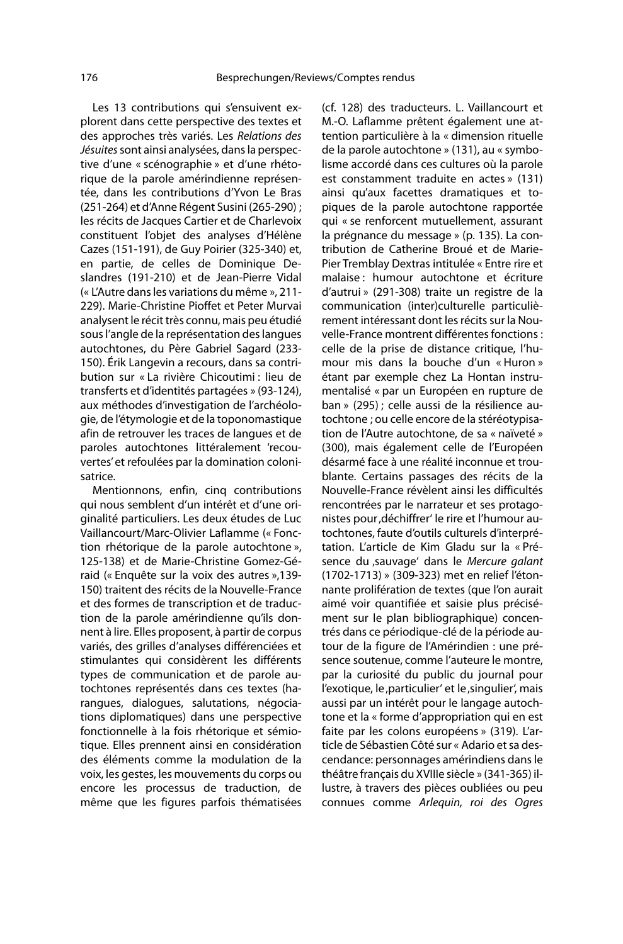Les 13 contributions qui s'ensuivent explorent dans cette perspective des textes et des approches très variés. Les Relations des Jésuites sont ainsi analysées, dans la perspective d'une « scénographie » et d'une rhétorique de la parole amérindienne représentée, dans les contributions d'Yvon Le Bras (251-264) et d'Anne Régent Susini (265-290) ; les récits de Jacques Cartier et de Charlevoix constituent l'objet des analyses d'Hélène Cazes (151-191), de Guy Poirier (325-340) et, en partie, de celles de Dominique Deslandres (191-210) et de Jean-Pierre Vidal (« L'Autre dans les variations du même », 211- 229). Marie-Christine Pioffet et Peter Murvai analysent le récit très connu, mais peu étudié sous l'angle de la représentation des langues autochtones, du Père Gabriel Sagard (233- 150). Érik Langevin a recours, dans sa contribution sur « La rivière Chicoutimi : lieu de transferts et d'identités partagées » (93-124), aux méthodes d'investigation de l'archéologie, de l'étymologie et de la toponomastique afin de retrouver les traces de langues et de paroles autochtones littéralement 'recouvertes' et refoulées par la domination colonisatrice.

Mentionnons, enfin, cinq contributions qui nous semblent d'un intérêt et d'une originalité particuliers. Les deux études de Luc Vaillancourt/Marc-Olivier Laflamme (« Fonction rhétorique de la parole autochtone », 125-138) et de Marie-Christine Gomez-Géraid (« Enquête sur la voix des autres »,139- 150) traitent des récits de la Nouvelle-France et des formes de transcription et de traduction de la parole amérindienne qu'ils donnent à lire. Elles proposent, à partir de corpus variés, des grilles d'analyses différenciées et stimulantes qui considèrent les différents types de communication et de parole autochtones représentés dans ces textes (harangues, dialogues, salutations, négociations diplomatiques) dans une perspective fonctionnelle à la fois rhétorique et sémiotique. Elles prennent ainsi en considération des éléments comme la modulation de la voix, les gestes, les mouvements du corps ou encore les processus de traduction, de même que les figures parfois thématisées

(cf. 128) des traducteurs. L. Vaillancourt et M.-O. Laflamme prêtent également une attention particulière à la « dimension rituelle de la parole autochtone » (131), au « symbolisme accordé dans ces cultures où la parole est constamment traduite en actes » (131) ainsi qu'aux facettes dramatiques et topiques de la parole autochtone rapportée qui « se renforcent mutuellement, assurant la prégnance du message » (p. 135). La contribution de Catherine Broué et de Marie-Pier Tremblay Dextras intitulée « Entre rire et malaise : humour autochtone et écriture d'autrui » (291-308) traite un registre de la communication (inter)culturelle particulièrement intéressant dont les récits sur la Nouvelle-France montrent différentes fonctions : celle de la prise de distance critique, l'humour mis dans la bouche d'un « Huron » étant par exemple chez La Hontan instrumentalisé « par un Européen en rupture de ban » (295) ; celle aussi de la résilience autochtone ; ou celle encore de la stéréotypisation de l'Autre autochtone, de sa « naïveté » (300), mais également celle de l'Européen désarmé face à une réalité inconnue et troublante. Certains passages des récits de la Nouvelle-France révèlent ainsi les difficultés rencontrées par le narrateur et ses protagonistes pour 'déchiffrer' le rire et l'humour autochtones, faute d'outils culturels d'interprétation. L'article de Kim Gladu sur la « Présence du ,sauvage' dans le Mercure galant (1702-1713) » (309-323) met en relief l'étonnante prolifération de textes (que l'on aurait aimé voir quantifiée et saisie plus précisément sur le plan bibliographique) concentrés dans ce périodique-clé de la période autour de la figure de l'Amérindien : une présence soutenue, comme l'auteure le montre, par la curiosité du public du journal pour l'exotique, le, particulier' et le, singulier', mais aussi par un intérêt pour le langage autochtone et la « forme d'appropriation qui en est faite par les colons européens » (319). L'article de Sébastien Côté sur « Adario et sa descendance: personnages amérindiens dans le théâtre français du XVIIIe siècle » (341-365) illustre, à travers des pièces oubliées ou peu connues comme Arlequin, roi des Ogres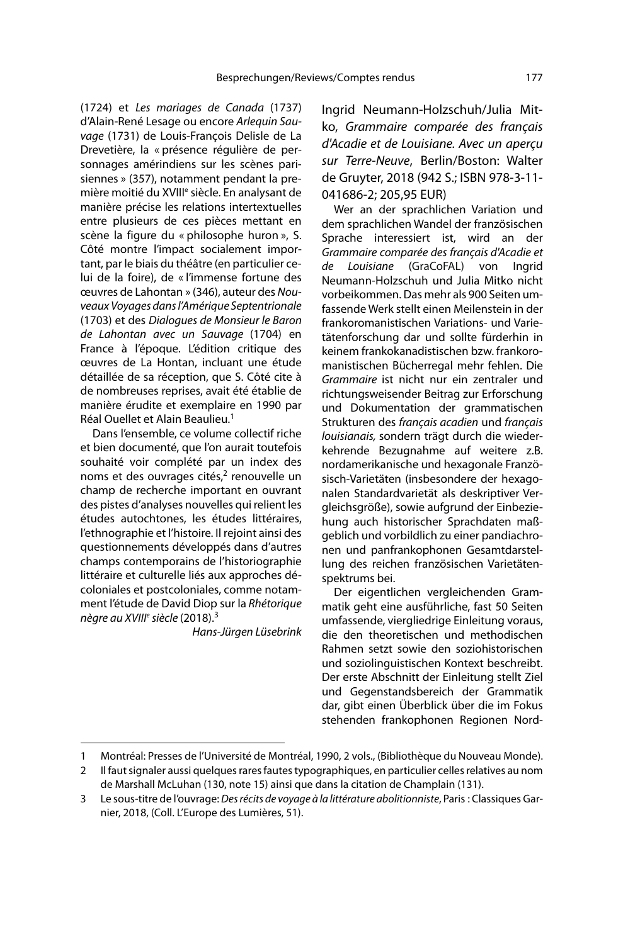(1724) et Les mariages de Canada (1737) d'Alain-René Lesage ou encore Arlequin Sauvage (1731) de Louis-François Delisle de La Drevetière, la « présence régulière de personnages amérindiens sur les scènes parisiennes » (357), notamment pendant la première moitié du XVIII<sup>e</sup> siècle. En analysant de manière précise les relations intertextuelles entre plusieurs de ces pièces mettant en scène la figure du « philosophe huron », S. Côté montre l'impact socialement important, par le biais du théâtre (en particulier celui de la foire), de « l'immense fortune des œuvres de Lahontan » (346), auteur des Nouveaux Voyages dans l'Amérique Septentrionale (1703) et des Dialogues de Monsieur le Baron de Lahontan avec un Sauvage (1704) en France à l'époque. L'édition critique des œuvres de La Hontan, incluant une étude détaillée de sa réception, que S. Côté cite à de nombreuses reprises, avait été établie de manière érudite et exemplaire en 1990 par Réal Quellet et Alain Beaulieu.<sup>1</sup>

Dans l'ensemble, ce volume collectif riche et bien documenté, que l'on aurait toutefois souhaité voir complété par un index des noms et des ouvrages cités,<sup>2</sup> renouvelle un champ de recherche important en ouvrant des pistes d'analyses nouvelles qui relient les études autochtones, les études littéraires, l'ethnographie et l'histoire. Il rejoint ainsi des questionnements développés dans d'autres champs contemporains de l'historiographie littéraire et culturelle liés aux approches décoloniales et postcoloniales, comme notamment l'étude de David Diop sur la Rhétorique nègre au XVIII<sup>e</sup> siècle (2018).<sup>3</sup>

Hans-Jürgen Lüsebrink

Ingrid Neumann-Holzschuh/Julia Mitko, Grammaire comparée des français d'Acadie et de Louisiane. Avec un aperçu sur Terre-Neuve, Berlin/Boston: Walter de Gruyter, 2018 (942 S.; ISBN 978-3-11- 041686-2; 205,95 EUR)

Wer an der sprachlichen Variation und dem sprachlichen Wandel der französischen Sprache interessiert ist, wird an der Grammaire comparée des français d'Acadie et de Louisiane (GraCoFAL) von Ingrid Neumann-Holzschuh und Julia Mitko nicht vorbeikommen. Das mehr als 900 Seiten umfassende Werk stellt einen Meilenstein in der frankoromanistischen Variations- und Varietätenforschung dar und sollte fürderhin in keinem frankokanadistischen bzw. frankoromanistischen Bücherregal mehr fehlen. Die Grammaire ist nicht nur ein zentraler und richtungsweisender Beitrag zur Erforschung und Dokumentation der grammatischen Strukturen des français acadien und français louisianais, sondern trägt durch die wiederkehrende Bezugnahme auf weitere z.B. nordamerikanische und hexagonale Französisch-Varietäten (insbesondere der hexagonalen Standardvarietät als deskriptiver Vergleichsgröße), sowie aufgrund der Einbeziehung auch historischer Sprachdaten maßgeblich und vorbildlich zu einer pandiachronen und panfrankophonen Gesamtdarstellung des reichen französischen Varietätenspektrums bei.

Der eigentlichen vergleichenden Grammatik geht eine ausführliche, fast 50 Seiten umfassende, viergliedrige Einleitung voraus, die den theoretischen und methodischen Rahmen setzt sowie den soziohistorischen und soziolinguistischen Kontext beschreibt. Der erste Abschnitt der Einleitung stellt Ziel und Gegenstandsbereich der Grammatik dar, gibt einen Überblick über die im Fokus stehenden frankophonen Regionen Nord-

<sup>1</sup> Montréal: Presses de l'Université de Montréal, 1990, 2 vols., (Bibliothèque du Nouveau Monde).

<sup>2</sup> Il faut signaler aussi quelques rares fautes typographiques, en particulier celles relatives au nom de Marshall McLuhan (130, note 15) ainsi que dans la citation de Champlain (131).

<sup>3</sup> Le sous-titre de l'ouvrage: Des récits de voyage à la littérature abolitionniste, Paris : Classiques Garnier, 2018, (Coll. L'Europe des Lumières, 51).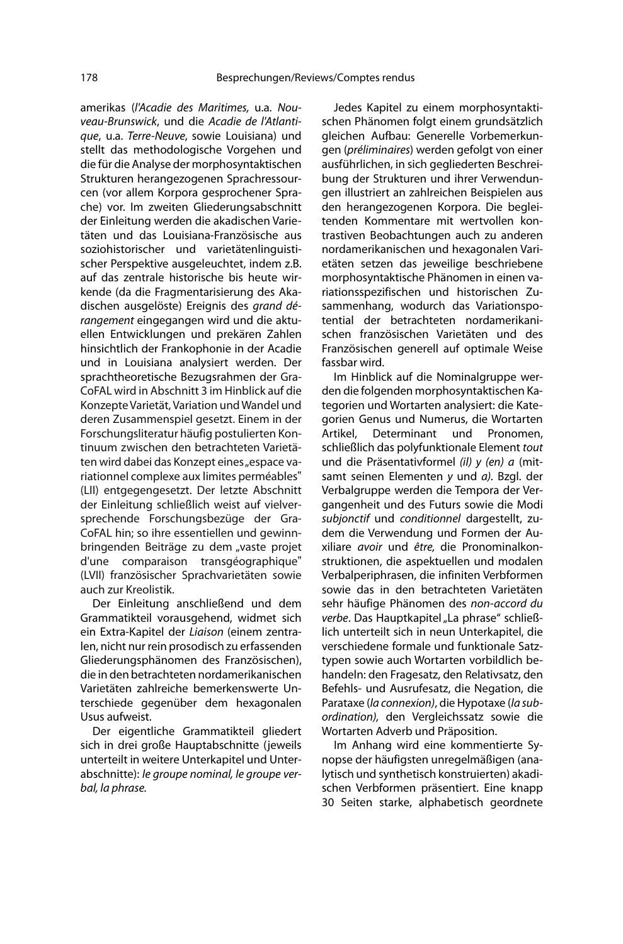amerikas (l'Acadie des Maritimes, u.a. Nouveau-Brunswick, und die Acadie de l'Atlantique, u.a. Terre-Neuve, sowie Louisiana) und stellt das methodologische Vorgehen und die für die Analyse der morphosyntaktischen Strukturen herangezogenen Sprachressourcen (vor allem Korpora gesprochener Sprache) vor. Im zweiten Gliederungsabschnitt der Einleitung werden die akadischen Varietäten und das Louisiana-Französische aus soziohistorischer und varietätenlinguistischer Perspektive ausgeleuchtet, indem z.B. auf das zentrale historische bis heute wirkende (da die Fragmentarisierung des Akadischen ausgelöste) Ereignis des grand dérangement eingegangen wird und die aktuellen Entwicklungen und prekären Zahlen hinsichtlich der Frankophonie in der Acadie und in Louisiana analysiert werden. Der sprachtheoretische Bezugsrahmen der Gra-CoFAL wird in Abschnitt 3 im Hinblick auf die Konzepte Varietät, Variation und Wandel und deren Zusammenspiel gesetzt. Einem in der Forschungsliteratur häufig postulierten Kontinuum zwischen den betrachteten Varietäten wird dabei das Konzept eines "espace variationnel complexe aux limites perméables" (LII) entgegengesetzt. Der letzte Abschnitt der Einleitung schließlich weist auf vielversprechende Forschungsbezüge der Gra-CoFAL hin; so ihre essentiellen und gewinnbringenden Beiträge zu dem "vaste projet d'une comparaison transgéographique" (LVII) französischer Sprachvarietäten sowie auch zur Kreolistik.

Der Einleitung anschließend und dem Grammatikteil vorausgehend, widmet sich ein Extra-Kapitel der Liaison (einem zentralen, nicht nur rein prosodisch zu erfassenden Gliederungsphänomen des Französischen), die in den betrachteten nordamerikanischen Varietäten zahlreiche bemerkenswerte Unterschiede gegenüber dem hexagonalen Usus aufweist.

Der eigentliche Grammatikteil gliedert sich in drei große Hauptabschnitte (jeweils unterteilt in weitere Unterkapitel und Unterabschnitte): le groupe nominal, le groupe verbal, la phrase.

Jedes Kapitel zu einem morphosyntaktischen Phänomen folgt einem grundsätzlich gleichen Aufbau: Generelle Vorbemerkungen (préliminaires) werden gefolgt von einer ausführlichen, in sich gegliederten Beschreibung der Strukturen und ihrer Verwendungen illustriert an zahlreichen Beispielen aus den herangezogenen Korpora. Die begleitenden Kommentare mit wertvollen kontrastiven Beobachtungen auch zu anderen nordamerikanischen und hexagonalen Varietäten setzen das jeweilige beschriebene morphosyntaktische Phänomen in einen variationsspezifischen und historischen Zusammenhang, wodurch das Variationspotential der betrachteten nordamerikanischen französischen Varietäten und des Französischen generell auf optimale Weise fassbar wird.

Im Hinblick auf die Nominalgruppe werden die folgenden morphosyntaktischen Kategorien und Wortarten analysiert: die Kategorien Genus und Numerus, die Wortarten Artikel, Determinant und Pronomen, schließlich das polyfunktionale Element tout und die Präsentativformel (il) y (en) a (mitsamt seinen Elementen y und a). Bzgl. der Verbalgruppe werden die Tempora der Vergangenheit und des Futurs sowie die Modi subjonctif und conditionnel dargestellt, zudem die Verwendung und Formen der Auxiliare avoir und être, die Pronominalkonstruktionen, die aspektuellen und modalen Verbalperiphrasen, die infiniten Verbformen sowie das in den betrachteten Varietäten sehr häufige Phänomen des non-accord du verbe. Das Hauptkapitel "La phrase" schließlich unterteilt sich in neun Unterkapitel, die verschiedene formale und funktionale Satztypen sowie auch Wortarten vorbildlich behandeln: den Fragesatz, den Relativsatz, den Befehls- und Ausrufesatz, die Negation, die Parataxe (la connexion), die Hypotaxe (la subordination), den Vergleichssatz sowie die Wortarten Adverb und Präposition.

Im Anhang wird eine kommentierte Synopse der häufigsten unregelmäßigen (analytisch und synthetisch konstruierten) akadischen Verbformen präsentiert. Eine knapp 30 Seiten starke, alphabetisch geordnete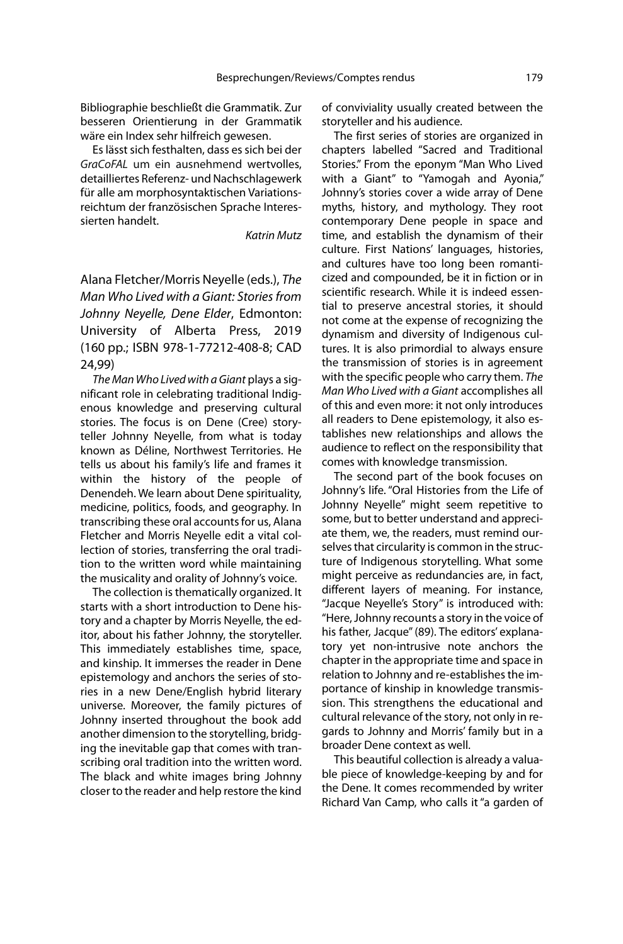Bibliographie beschließt die Grammatik. Zur besseren Orientierung in der Grammatik wäre ein Index sehr hilfreich gewesen.

Es lässt sich festhalten, dass es sich bei der GraCoFAL um ein ausnehmend wertvolles, detailliertes Referenz- und Nachschlagewerk für alle am morphosyntaktischen Variationsreichtum der französischen Sprache Interessierten handelt.

## Katrin Mutz

Alana Fletcher/Morris Neyelle (eds.), The Man Who Lived with a Giant: Stories from Johnny Neyelle, Dene Elder, Edmonton: University of Alberta Press, 2019 (160 pp.; ISBN 978-1-77212-408-8; CAD 24,99)

The Man Who Lived with a Giant plays a significant role in celebrating traditional Indigenous knowledge and preserving cultural stories. The focus is on Dene (Cree) storyteller Johnny Neyelle, from what is today known as Déline, Northwest Territories. He tells us about his family's life and frames it within the history of the people of Denendeh. We learn about Dene spirituality, medicine, politics, foods, and geography. In transcribing these oral accounts for us, Alana Fletcher and Morris Neyelle edit a vital collection of stories, transferring the oral tradition to the written word while maintaining the musicality and orality of Johnny's voice.

The collection is thematically organized. It starts with a short introduction to Dene history and a chapter by Morris Neyelle, the editor, about his father Johnny, the storyteller. This immediately establishes time, space, and kinship. It immerses the reader in Dene epistemology and anchors the series of stories in a new Dene/English hybrid literary universe. Moreover, the family pictures of Johnny inserted throughout the book add another dimension to the storytelling, bridging the inevitable gap that comes with transcribing oral tradition into the written word. The black and white images bring Johnny closer to the reader and help restore the kind

of conviviality usually created between the storyteller and his audience.

The first series of stories are organized in chapters labelled "Sacred and Traditional Stories." From the eponym "Man Who Lived with a Giant" to "Yamogah and Ayonia," Johnny's stories cover a wide array of Dene myths, history, and mythology. They root contemporary Dene people in space and time, and establish the dynamism of their culture. First Nations' languages, histories, and cultures have too long been romanticized and compounded, be it in fiction or in scientific research. While it is indeed essential to preserve ancestral stories, it should not come at the expense of recognizing the dynamism and diversity of Indigenous cultures. It is also primordial to always ensure the transmission of stories is in agreement with the specific people who carry them. The Man Who Lived with a Giant accomplishes all of this and even more: it not only introduces all readers to Dene epistemology, it also establishes new relationships and allows the audience to reflect on the responsibility that comes with knowledge transmission.

The second part of the book focuses on Johnny's life. "Oral Histories from the Life of Johnny Neyelle" might seem repetitive to some, but to better understand and appreciate them, we, the readers, must remind ourselves that circularity is common in the structure of Indigenous storytelling. What some might perceive as redundancies are, in fact, different layers of meaning. For instance, "Jacque Neyelle's Story" is introduced with: "Here, Johnny recounts a story in the voice of his father, Jacque" (89). The editors' explanatory yet non-intrusive note anchors the chapter in the appropriate time and space in relation to Johnny and re-establishes the importance of kinship in knowledge transmission. This strengthens the educational and cultural relevance of the story, not only in regards to Johnny and Morris' family but in a broader Dene context as well.

This beautiful collection is already a valuable piece of knowledge-keeping by and for the Dene. It comes recommended by writer Richard Van Camp, who calls it "a garden of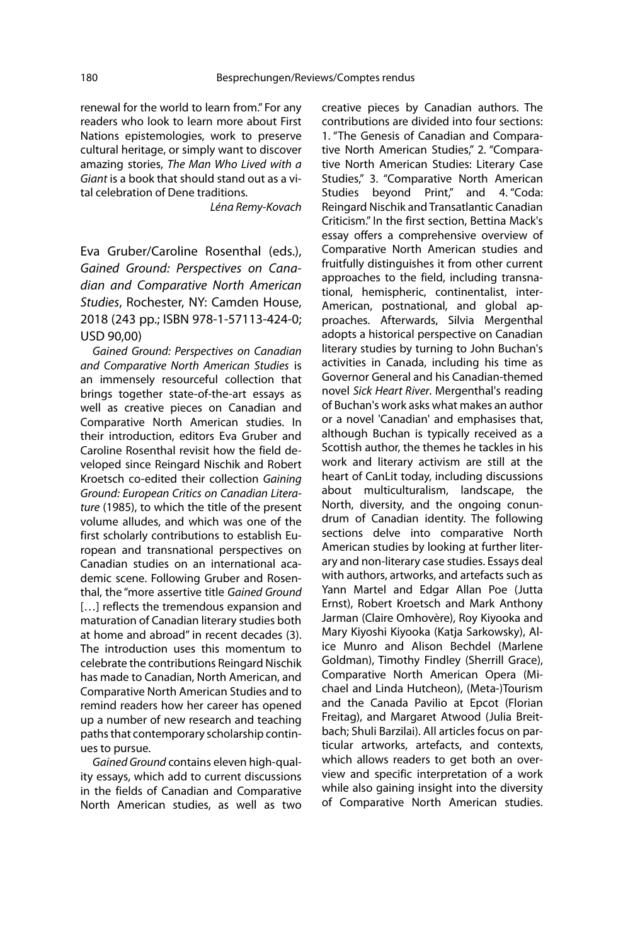renewal for the world to learn from." For any readers who look to learn more about First Nations epistemologies, work to preserve cultural heritage, or simply want to discover amazing stories, The Man Who Lived with a Giant is a book that should stand out as a vital celebration of Dene traditions.

Léna Remy-Kovach

Eva Gruber/Caroline Rosenthal (eds.), Gained Ground: Perspectives on Canadian and Comparative North American Studies, Rochester, NY: Camden House, 2018 (243 pp.; ISBN 978-1-57113-424-0; USD 90,00)

Gained Ground: Perspectives on Canadian and Comparative North American Studies is an immensely resourceful collection that brings together state-of-the-art essays as well as creative pieces on Canadian and Comparative North American studies. In their introduction, editors Eva Gruber and Caroline Rosenthal revisit how the field developed since Reingard Nischik and Robert Kroetsch co-edited their collection Gaining Ground: European Critics on Canadian Literature (1985), to which the title of the present volume alludes, and which was one of the first scholarly contributions to establish European and transnational perspectives on Canadian studies on an international academic scene. Following Gruber and Rosenthal, the "more assertive title Gained Ground [...] reflects the tremendous expansion and maturation of Canadian literary studies both at home and abroad" in recent decades (3). The introduction uses this momentum to celebrate the contributions Reingard Nischik has made to Canadian, North American, and Comparative North American Studies and to remind readers how her career has opened up a number of new research and teaching paths that contemporary scholarship continues to pursue.

Gained Ground contains eleven high-quality essays, which add to current discussions in the fields of Canadian and Comparative North American studies, as well as two creative pieces by Canadian authors. The contributions are divided into four sections: 1. "The Genesis of Canadian and Comparative North American Studies," 2. "Comparative North American Studies: Literary Case Studies," 3. "Comparative North American Studies bevond Print," and 4. "Coda: Reingard Nischik and Transatlantic Canadian Criticism." In the first section, Bettina Mack's essay offers a comprehensive overview of Comparative North American studies and fruitfully distinguishes it from other current approaches to the field, including transnational, hemispheric, continentalist, inter-American, postnational, and global approaches. Afterwards, Silvia Mergenthal adopts a historical perspective on Canadian literary studies by turning to John Buchan's activities in Canada, including his time as Governor General and his Canadian-themed novel Sick Heart River. Mergenthal's reading of Buchan's work asks what makes an author or a novel 'Canadian' and emphasises that, although Buchan is typically received as a Scottish author, the themes he tackles in his work and literary activism are still at the heart of CanLit today, including discussions about multiculturalism, landscape, the North, diversity, and the ongoing conundrum of Canadian identity. The following sections delve into comparative North American studies by looking at further literary and non-literary case studies. Essays deal with authors, artworks, and artefacts such as Yann Martel and Edgar Allan Poe (Jutta Ernst), Robert Kroetsch and Mark Anthony Jarman (Claire Omhovère), Roy Kiyooka and Mary Kiyoshi Kiyooka (Katja Sarkowsky), Alice Munro and Alison Bechdel (Marlene Goldman), Timothy Findley (Sherrill Grace), Comparative North American Opera (Michael and Linda Hutcheon), (Meta-)Tourism and the Canada Pavilio at Epcot (Florian Freitag), and Margaret Atwood (Julia Breitbach; Shuli Barzilai). All articles focus on particular artworks, artefacts, and contexts, which allows readers to get both an overview and specific interpretation of a work while also gaining insight into the diversity of Comparative North American studies.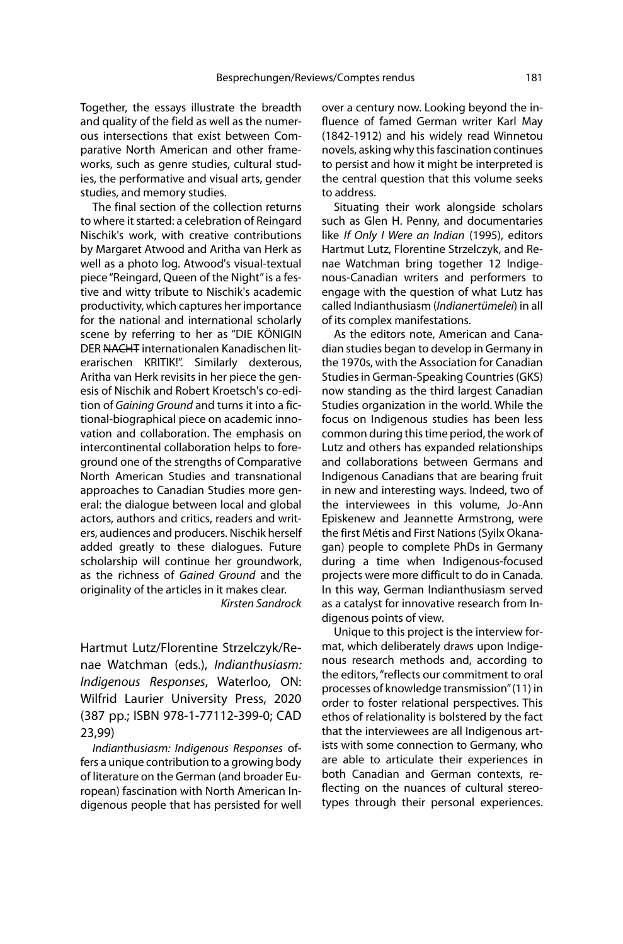Together, the essays illustrate the breadth and quality of the field as well as the numerous intersections that exist between Comparative North American and other frameworks, such as genre studies, cultural studies, the performative and visual arts, gender studies, and memory studies.

The final section of the collection returns to where it started: a celebration of Reingard Nischik's work, with creative contributions by Margaret Atwood and Aritha van Herk as well as a photo log. Atwood's visual-textual piece "Reingard, Queen of the Night" is a festive and witty tribute to Nischik's academic productivity, which captures her importance for the national and international scholarly scene by referring to her as "DIE KÖNIGIN DER NACHT internationalen Kanadischen literarischen KRITIK!". Similarly dexterous, Aritha van Herk revisits in her piece the genesis of Nischik and Robert Kroetsch's co-edition of Gaining Ground and turns it into a fictional-biographical piece on academic innovation and collaboration. The emphasis on intercontinental collaboration helps to foreground one of the strengths of Comparative North American Studies and transnational approaches to Canadian Studies more general: the dialogue between local and global actors, authors and critics, readers and writers, audiences and producers. Nischik herself added greatly to these dialogues. Future scholarship will continue her groundwork, as the richness of Gained Ground and the originality of the articles in it makes clear.

Kirsten Sandrock

Hartmut Lutz/Florentine Strzelczyk/Renae Watchman (eds.), Indianthusiasm: Indigenous Responses, Waterloo, ON: Wilfrid Laurier University Press, 2020 (387 pp.; ISBN 978-1-77112-399-0; CAD 23,99)

Indianthusiasm: Indigenous Responses offers a unique contribution to a growing body of literature on the German (and broader European) fascination with North American Indigenous people that has persisted for well over a century now. Looking beyond the influence of famed German writer Karl May (1842-1912) and his widely read Winnetou novels, asking why this fascination continues to persist and how it might be interpreted is the central question that this volume seeks to address.

Situating their work alongside scholars such as Glen H. Penny, and documentaries like If Only I Were an Indian (1995), editors Hartmut Lutz, Florentine Strzelczyk, and Renae Watchman bring together 12 Indigenous-Canadian writers and performers to engage with the question of what Lutz has called Indianthusiasm (Indianertümelei) in all of its complex manifestations.

As the editors note, American and Canadian studies began to develop in Germany in the 1970s, with the Association for Canadian Studies in German-Speaking Countries (GKS) now standing as the third largest Canadian Studies organization in the world. While the focus on Indigenous studies has been less common during this time period, the work of Lutz and others has expanded relationships and collaborations between Germans and Indigenous Canadians that are bearing fruit in new and interesting ways. Indeed, two of the interviewees in this volume, Jo-Ann Episkenew and Jeannette Armstrong, were the first Métis and First Nations (Syilx Okanagan) people to complete PhDs in Germany during a time when Indigenous-focused projects were more difficult to do in Canada. In this way, German Indianthusiasm served as a catalyst for innovative research from Indigenous points of view.

Unique to this project is the interview format, which deliberately draws upon Indigenous research methods and, according to the editors, "reflects our commitment to oral processes of knowledge transmission" (11) in order to foster relational perspectives. This ethos of relationality is bolstered by the fact that the interviewees are all Indigenous artists with some connection to Germany, who are able to articulate their experiences in both Canadian and German contexts, reflecting on the nuances of cultural stereotypes through their personal experiences.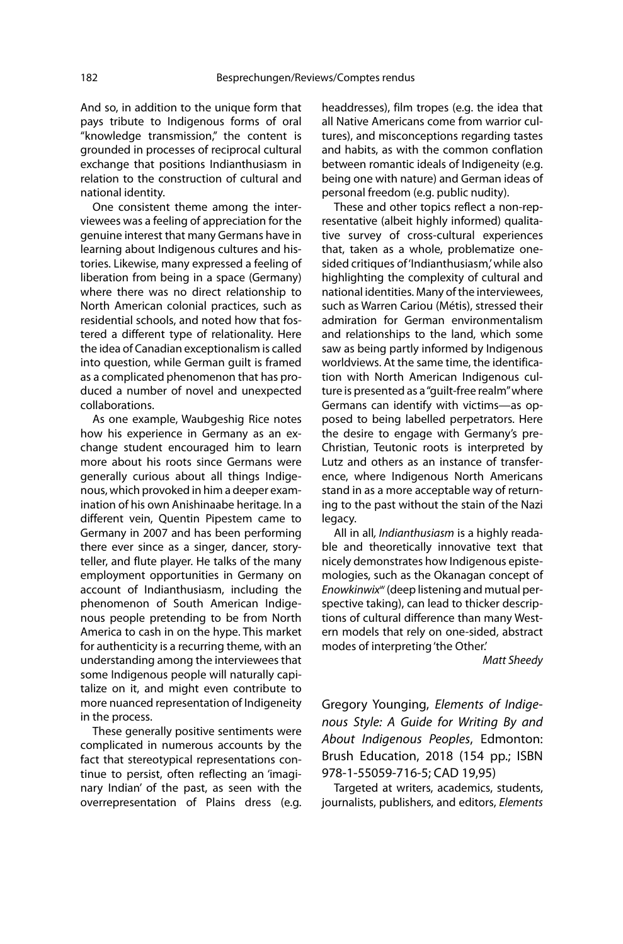And so, in addition to the unique form that pays tribute to Indigenous forms of oral "knowledge transmission," the content is grounded in processes of reciprocal cultural exchange that positions Indianthusiasm in relation to the construction of cultural and national identity.

One consistent theme among the interviewees was a feeling of appreciation for the genuine interest that many Germans have in learning about Indigenous cultures and histories. Likewise, many expressed a feeling of liberation from being in a space (Germany) where there was no direct relationship to North American colonial practices, such as residential schools, and noted how that fostered a different type of relationality. Here the idea of Canadian exceptionalism is called into question, while German guilt is framed as a complicated phenomenon that has produced a number of novel and unexpected collaborations.

As one example, Waubgeshig Rice notes how his experience in Germany as an exchange student encouraged him to learn more about his roots since Germans were generally curious about all things Indigenous, which provoked in him a deeper examination of his own Anishinaabe heritage. In a different vein, Quentin Pipestem came to Germany in 2007 and has been performing there ever since as a singer, dancer, storyteller, and flute player. He talks of the many employment opportunities in Germany on account of Indianthusiasm, including the phenomenon of South American Indigenous people pretending to be from North America to cash in on the hype. This market for authenticity is a recurring theme, with an understanding among the interviewees that some Indigenous people will naturally capitalize on it, and might even contribute to more nuanced representation of Indigeneity in the process.

These generally positive sentiments were complicated in numerous accounts by the fact that stereotypical representations continue to persist, often reflecting an 'imaginary Indian' of the past, as seen with the overrepresentation of Plains dress (e.g.

headdresses), film tropes (e.g. the idea that all Native Americans come from warrior cultures), and misconceptions regarding tastes and habits, as with the common conflation between romantic ideals of Indigeneity (e.g. being one with nature) and German ideas of personal freedom (e.g. public nudity).

These and other topics reflect a non-representative (albeit highly informed) qualitative survey of cross-cultural experiences that, taken as a whole, problematize onesided critiques of 'Indianthusiasm,' while also highlighting the complexity of cultural and national identities. Many of the interviewees, such as Warren Cariou (Métis), stressed their admiration for German environmentalism and relationships to the land, which some saw as being partly informed by Indigenous worldviews. At the same time, the identification with North American Indigenous culture is presented as a "guilt-free realm" where Germans can identify with victims—as opposed to being labelled perpetrators. Here the desire to engage with Germany's pre-Christian, Teutonic roots is interpreted by Lutz and others as an instance of transference, where Indigenous North Americans stand in as a more acceptable way of returning to the past without the stain of the Nazi legacy.

All in all, Indianthusiasm is a highly readable and theoretically innovative text that nicely demonstrates how Indigenous epistemologies, such as the Okanagan concept of Enowkinwix<sup>w</sup> (deep listening and mutual perspective taking), can lead to thicker descriptions of cultural difference than many Western models that rely on one-sided, abstract modes of interpreting 'the Other.'

Matt Sheedy

Gregory Younging, Elements of Indigenous Style: A Guide for Writing By and About Indigenous Peoples, Edmonton: Brush Education, 2018 (154 pp.; ISBN 978-1-55059-716-5; CAD 19,95)

Targeted at writers, academics, students, journalists, publishers, and editors, Elements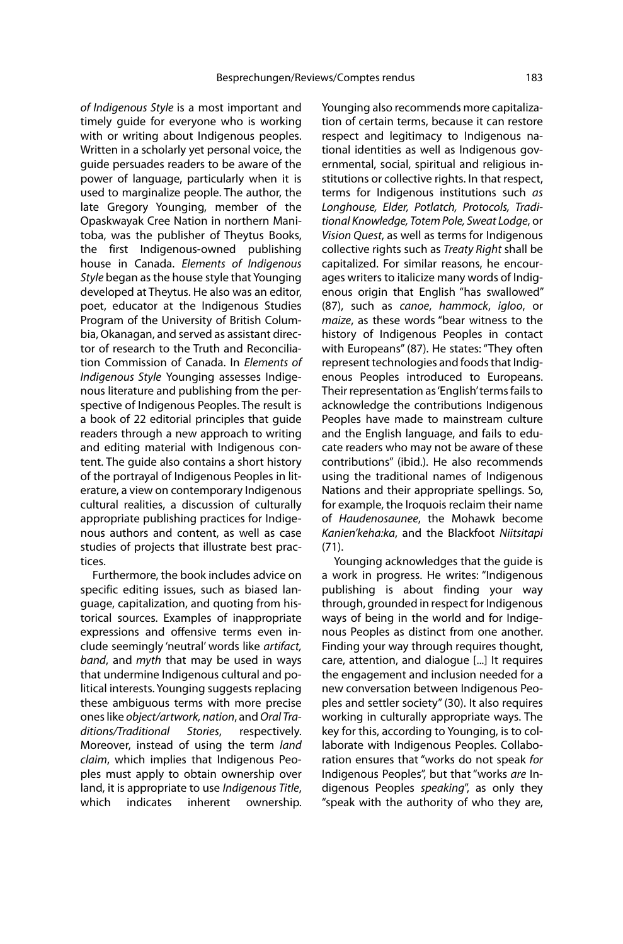of Indigenous Style is a most important and timely guide for everyone who is working with or writing about Indigenous peoples. Written in a scholarly yet personal voice, the guide persuades readers to be aware of the power of language, particularly when it is used to marginalize people. The author, the late Gregory Younging, member of the Opaskwayak Cree Nation in northern Manitoba, was the publisher of Theytus Books, the first Indigenous-owned publishing house in Canada. Elements of Indigenous Style began as the house style that Younging developed at Theytus. He also was an editor, poet, educator at the Indigenous Studies Program of the University of British Columbia, Okanagan, and served as assistant director of research to the Truth and Reconciliation Commission of Canada. In Elements of Indigenous Style Younging assesses Indigenous literature and publishing from the perspective of Indigenous Peoples. The result is a book of 22 editorial principles that guide readers through a new approach to writing and editing material with Indigenous content. The guide also contains a short history of the portrayal of Indigenous Peoples in literature, a view on contemporary Indigenous cultural realities, a discussion of culturally appropriate publishing practices for Indigenous authors and content, as well as case studies of projects that illustrate best practices.

Furthermore, the book includes advice on specific editing issues, such as biased language, capitalization, and quoting from historical sources. Examples of inappropriate expressions and offensive terms even include seemingly 'neutral' words like artifact, band, and myth that may be used in ways that undermine Indigenous cultural and political interests. Younging suggests replacing these ambiguous terms with more precise ones like object/artwork, nation, and Oral Traditions/Traditional Stories, respectively. Moreover, instead of using the term land claim, which implies that Indigenous Peoples must apply to obtain ownership over land, it is appropriate to use Indigenous Title, which indicates inherent ownership.

Younging also recommends more capitalization of certain terms, because it can restore respect and legitimacy to Indigenous national identities as well as Indigenous governmental, social, spiritual and religious institutions or collective rights. In that respect, terms for Indigenous institutions such as Longhouse, Elder, Potlatch, Protocols, Traditional Knowledge, Totem Pole, Sweat Lodge, or Vision Quest, as well as terms for Indigenous collective rights such as Treaty Right shall be capitalized. For similar reasons, he encourages writers to italicize many words of Indigenous origin that English "has swallowed" (87), such as canoe, hammock, igloo, or maize, as these words "bear witness to the history of Indigenous Peoples in contact with Europeans" (87). He states: "They often represent technologies and foods that Indigenous Peoples introduced to Europeans. Their representation as 'English' terms fails to acknowledge the contributions Indigenous Peoples have made to mainstream culture and the English language, and fails to educate readers who may not be aware of these contributions" (ibid.). He also recommends using the traditional names of Indigenous Nations and their appropriate spellings. So, for example, the Iroquois reclaim their name of Haudenosaunee, the Mohawk become Kanien'keha:ka, and the Blackfoot Niitsitapi (71).

Younging acknowledges that the guide is a work in progress. He writes: "Indigenous publishing is about finding your way through, grounded in respect for Indigenous ways of being in the world and for Indigenous Peoples as distinct from one another. Finding your way through requires thought, care, attention, and dialogue [...] It requires the engagement and inclusion needed for a new conversation between Indigenous Peoples and settler society" (30). It also requires working in culturally appropriate ways. The key for this, according to Younging, is to collaborate with Indigenous Peoples. Collaboration ensures that "works do not speak for Indigenous Peoples", but that "works are Indigenous Peoples speaking", as only they "speak with the authority of who they are,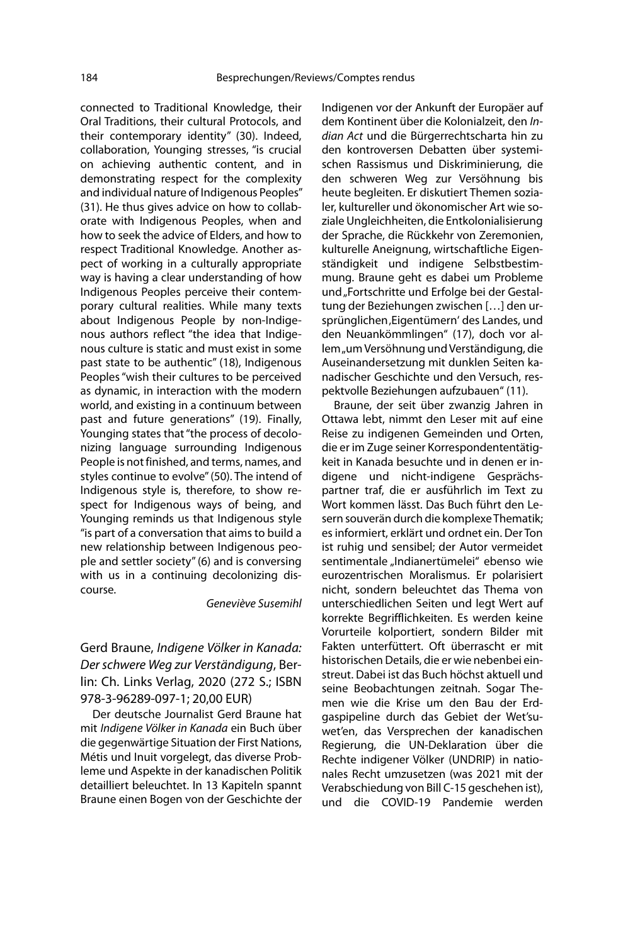connected to Traditional Knowledge, their Oral Traditions, their cultural Protocols, and their contemporary identity" (30). Indeed, collaboration, Younging stresses, "is crucial on achieving authentic content, and in demonstrating respect for the complexity and individual nature of Indigenous Peoples" (31). He thus gives advice on how to collaborate with Indigenous Peoples, when and how to seek the advice of Elders, and how to respect Traditional Knowledge. Another aspect of working in a culturally appropriate way is having a clear understanding of how Indigenous Peoples perceive their contemporary cultural realities. While many texts about Indigenous People by non-Indigenous authors reflect "the idea that Indigenous culture is static and must exist in some past state to be authentic" (18), Indigenous Peoples "wish their cultures to be perceived as dynamic, in interaction with the modern world, and existing in a continuum between past and future generations" (19). Finally, Younging states that "the process of decolonizing language surrounding Indigenous People is not finished, and terms, names, and styles continue to evolve" (50). The intend of Indigenous style is, therefore, to show respect for Indigenous ways of being, and Younging reminds us that Indigenous style "is part of a conversation that aims to build a new relationship between Indigenous people and settler society" (6) and is conversing with us in a continuing decolonizing discourse.

### Geneviève Susemihl

Gerd Braune, Indigene Völker in Kanada: Der schwere Weg zur Verständigung, Berlin: Ch. Links Verlag, 2020 (272 S.; ISBN 978-3-96289-097-1; 20,00 EUR)

Der deutsche Journalist Gerd Braune hat mit Indigene Völker in Kanada ein Buch über die gegenwärtige Situation der First Nations, Métis und Inuit vorgelegt, das diverse Probleme und Aspekte in der kanadischen Politik detailliert beleuchtet. In 13 Kapiteln spannt Braune einen Bogen von der Geschichte der

Indigenen vor der Ankunft der Europäer auf dem Kontinent über die Kolonialzeit, den Indian Act und die Bürgerrechtscharta hin zu den kontroversen Debatten über systemischen Rassismus und Diskriminierung, die den schweren Weg zur Versöhnung bis heute begleiten. Er diskutiert Themen sozialer, kultureller und ökonomischer Art wie soziale Ungleichheiten, die Entkolonialisierung der Sprache, die Rückkehr von Zeremonien, kulturelle Aneignung, wirtschaftliche Eigenständigkeit und indigene Selbstbestimmung. Braune geht es dabei um Probleme und "Fortschritte und Erfolge bei der Gestaltung der Beziehungen zwischen […] den ursprünglichen, Eigentümern' des Landes, und den Neuankömmlingen" (17), doch vor allem "um Versöhnung und Verständigung, die Auseinandersetzung mit dunklen Seiten kanadischer Geschichte und den Versuch, respektvolle Beziehungen aufzubauen" (11).

Braune, der seit über zwanzig Jahren in Ottawa lebt, nimmt den Leser mit auf eine Reise zu indigenen Gemeinden und Orten, die er im Zuge seiner Korrespondententätigkeit in Kanada besuchte und in denen er indigene und nicht-indigene Gesprächspartner traf, die er ausführlich im Text zu Wort kommen lässt. Das Buch führt den Lesern souverän durch die komplexe Thematik; es informiert, erklärt und ordnet ein. Der Ton ist ruhig und sensibel; der Autor vermeidet sentimentale "Indianertümelei" ebenso wie eurozentrischen Moralismus. Er polarisiert nicht, sondern beleuchtet das Thema von unterschiedlichen Seiten und legt Wert auf korrekte Begrifflichkeiten. Es werden keine Vorurteile kolportiert, sondern Bilder mit Fakten unterfüttert. Oft überrascht er mit historischen Details, die er wie nebenbei einstreut. Dabei ist das Buch höchst aktuell und seine Beobachtungen zeitnah. Sogar Themen wie die Krise um den Bau der Erdgaspipeline durch das Gebiet der Wet'suwet'en, das Versprechen der kanadischen Regierung, die UN-Deklaration über die Rechte indigener Völker (UNDRIP) in nationales Recht umzusetzen (was 2021 mit der Verabschiedung von Bill C-15 geschehen ist), und die COVID-19 Pandemie werden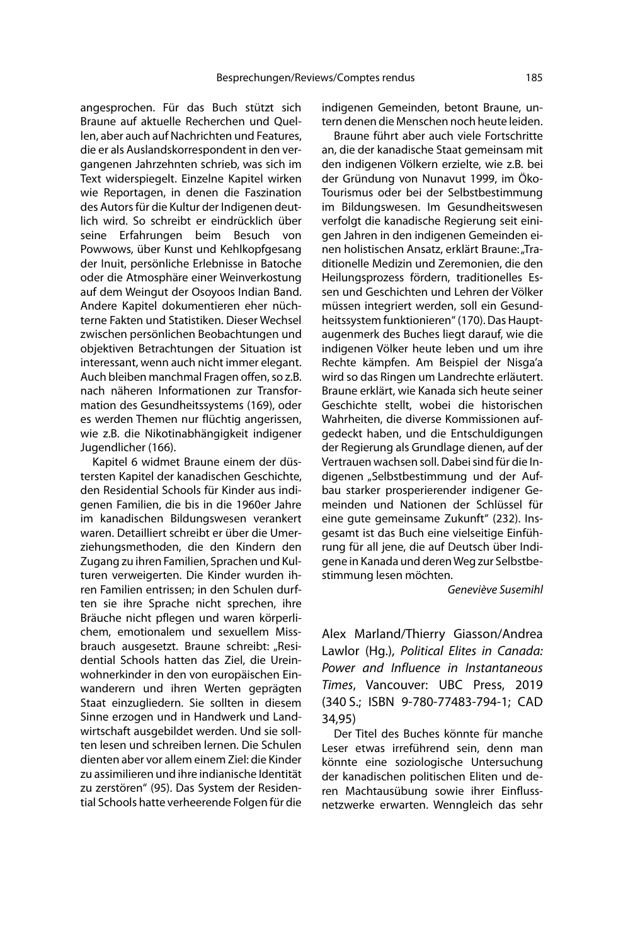angesprochen. Für das Buch stützt sich Braune auf aktuelle Recherchen und Quellen, aber auch auf Nachrichten und Features, die er als Auslandskorrespondent in den vergangenen Jahrzehnten schrieb, was sich im Text widerspiegelt. Einzelne Kapitel wirken wie Reportagen, in denen die Faszination des Autors für die Kultur der Indigenen deutlich wird. So schreibt er eindrücklich über seine Erfahrungen beim Besuch von Powwows, über Kunst und Kehlkopfgesang der Inuit, persönliche Erlebnisse in Batoche oder die Atmosphäre einer Weinverkostung auf dem Weingut der Osoyoos Indian Band. Andere Kapitel dokumentieren eher nüchterne Fakten und Statistiken. Dieser Wechsel zwischen persönlichen Beobachtungen und objektiven Betrachtungen der Situation ist interessant, wenn auch nicht immer elegant. Auch bleiben manchmal Fragen offen, so z.B. nach näheren Informationen zur Transformation des Gesundheitssystems (169), oder es werden Themen nur flüchtig angerissen, wie z.B. die Nikotinabhängigkeit indigener Jugendlicher (166).

Kapitel 6 widmet Braune einem der düstersten Kapitel der kanadischen Geschichte, den Residential Schools für Kinder aus indigenen Familien, die bis in die 1960er Jahre im kanadischen Bildungswesen verankert waren. Detailliert schreibt er über die Umerziehungsmethoden, die den Kindern den Zugang zu ihren Familien, Sprachen und Kulturen verweigerten. Die Kinder wurden ihren Familien entrissen; in den Schulen durften sie ihre Sprache nicht sprechen, ihre Bräuche nicht pflegen und waren körperlichem, emotionalem und sexuellem Missbrauch ausgesetzt. Braune schreibt: "Residential Schools hatten das Ziel, die Ureinwohnerkinder in den von europäischen Einwanderern und ihren Werten geprägten Staat einzugliedern. Sie sollten in diesem Sinne erzogen und in Handwerk und Landwirtschaft ausgebildet werden. Und sie sollten lesen und schreiben lernen. Die Schulen dienten aber vor allem einem Ziel: die Kinder zu assimilieren und ihre indianische Identität zu zerstören" (95). Das System der Residential Schools hatte verheerende Folgen für die indigenen Gemeinden, betont Braune, untern denen die Menschen noch heute leiden.

Braune führt aber auch viele Fortschritte an, die der kanadische Staat gemeinsam mit den indigenen Völkern erzielte, wie z.B. bei der Gründung von Nunavut 1999, im Öko-Tourismus oder bei der Selbstbestimmung im Bildungswesen. Im Gesundheitswesen verfolgt die kanadische Regierung seit einigen Jahren in den indigenen Gemeinden einen holistischen Ansatz, erklärt Braune: "Traditionelle Medizin und Zeremonien, die den Heilungsprozess fördern, traditionelles Essen und Geschichten und Lehren der Völker müssen integriert werden, soll ein Gesundheitssystem funktionieren" (170). Das Hauptaugenmerk des Buches liegt darauf, wie die indigenen Völker heute leben und um ihre Rechte kämpfen. Am Beispiel der Nisga'a wird so das Ringen um Landrechte erläutert. Braune erklärt, wie Kanada sich heute seiner Geschichte stellt, wobei die historischen Wahrheiten, die diverse Kommissionen aufgedeckt haben, und die Entschuldigungen der Regierung als Grundlage dienen, auf der Vertrauen wachsen soll. Dabei sind für die Indigenen "Selbstbestimmung und der Aufbau starker prosperierender indigener Gemeinden und Nationen der Schlüssel für eine gute gemeinsame Zukunft" (232). Insgesamt ist das Buch eine vielseitige Einführung für all jene, die auf Deutsch über Indigene in Kanada und deren Weg zur Selbstbestimmung lesen möchten.

Geneviève Susemihl

Alex Marland/Thierry Giasson/Andrea Lawlor (Hg.), Political Elites in Canada: Power and Influence in Instantaneous Times, Vancouver: UBC Press, 2019 (340 S.; ISBN 9-780-77483-794-1; CAD 34,95)

Der Titel des Buches könnte für manche Leser etwas irreführend sein, denn man könnte eine soziologische Untersuchung der kanadischen politischen Eliten und deren Machtausübung sowie ihrer Einflussnetzwerke erwarten. Wenngleich das sehr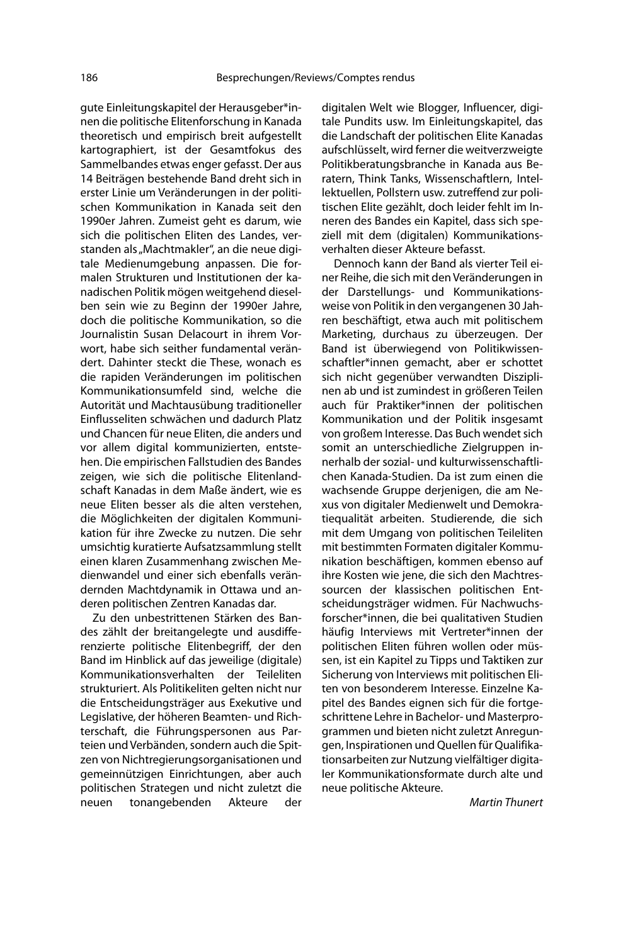gute Einleitungskapitel der Herausgeber\*innen die politische Elitenforschung in Kanada theoretisch und empirisch breit aufgestellt kartographiert, ist der Gesamtfokus des Sammelbandes etwas enger gefasst. Der aus 14 Beiträgen bestehende Band dreht sich in erster Linie um Veränderungen in der politischen Kommunikation in Kanada seit den 1990er Jahren. Zumeist geht es darum, wie sich die politischen Eliten des Landes, verstanden als "Machtmakler", an die neue digitale Medienumgebung anpassen. Die formalen Strukturen und Institutionen der kanadischen Politik mögen weitgehend dieselben sein wie zu Beginn der 1990er Jahre, doch die politische Kommunikation, so die Journalistin Susan Delacourt in ihrem Vorwort, habe sich seither fundamental verändert. Dahinter steckt die These, wonach es die rapiden Veränderungen im politischen Kommunikationsumfeld sind, welche die Autorität und Machtausübung traditioneller Einflusseliten schwächen und dadurch Platz und Chancen für neue Eliten, die anders und vor allem digital kommunizierten, entstehen. Die empirischen Fallstudien des Bandes zeigen, wie sich die politische Elitenlandschaft Kanadas in dem Maße ändert, wie es neue Eliten besser als die alten verstehen, die Möglichkeiten der digitalen Kommunikation für ihre Zwecke zu nutzen. Die sehr umsichtig kuratierte Aufsatzsammlung stellt einen klaren Zusammenhang zwischen Medienwandel und einer sich ebenfalls verändernden Machtdynamik in Ottawa und anderen politischen Zentren Kanadas dar.

Zu den unbestrittenen Stärken des Bandes zählt der breitangelegte und ausdifferenzierte politische Elitenbegriff, der den Band im Hinblick auf das jeweilige (digitale) Kommunikationsverhalten der Teileliten strukturiert. Als Politikeliten gelten nicht nur die Entscheidungsträger aus Exekutive und Legislative, der höheren Beamten- und Richterschaft, die Führungspersonen aus Parteien und Verbänden, sondern auch die Spitzen von Nichtregierungsorganisationen und gemeinnützigen Einrichtungen, aber auch politischen Strategen und nicht zuletzt die neuen tonangebenden Akteure der digitalen Welt wie Blogger, Influencer, digitale Pundits usw. Im Einleitungskapitel, das die Landschaft der politischen Elite Kanadas aufschlüsselt, wird ferner die weitverzweigte Politikberatungsbranche in Kanada aus Beratern, Think Tanks, Wissenschaftlern, Intellektuellen, Pollstern usw. zutreffend zur politischen Elite gezählt, doch leider fehlt im Inneren des Bandes ein Kapitel, dass sich speziell mit dem (digitalen) Kommunikationsverhalten dieser Akteure befasst.

Dennoch kann der Band als vierter Teil einer Reihe, die sich mit den Veränderungen in der Darstellungs- und Kommunikationsweise von Politik in den vergangenen 30 Jahren beschäftigt, etwa auch mit politischem Marketing, durchaus zu überzeugen. Der Band ist überwiegend von Politikwissenschaftler\*innen gemacht, aber er schottet sich nicht gegenüber verwandten Disziplinen ab und ist zumindest in größeren Teilen auch für Praktiker\*innen der politischen Kommunikation und der Politik insgesamt von großem Interesse. Das Buch wendet sich somit an unterschiedliche Zielgruppen innerhalb der sozial- und kulturwissenschaftlichen Kanada-Studien. Da ist zum einen die wachsende Gruppe derjenigen, die am Nexus von digitaler Medienwelt und Demokratiequalität arbeiten. Studierende, die sich mit dem Umgang von politischen Teileliten mit bestimmten Formaten digitaler Kommunikation beschäftigen, kommen ebenso auf ihre Kosten wie jene, die sich den Machtressourcen der klassischen politischen Entscheidungsträger widmen. Für Nachwuchsforscher\*innen, die bei qualitativen Studien häufig Interviews mit Vertreter\*innen der politischen Eliten führen wollen oder müssen, ist ein Kapitel zu Tipps und Taktiken zur Sicherung von Interviews mit politischen Eliten von besonderem Interesse. Einzelne Kapitel des Bandes eignen sich für die fortgeschrittene Lehre in Bachelor- und Masterprogrammen und bieten nicht zuletzt Anregungen, Inspirationen und Quellen für Qualifikationsarbeiten zur Nutzung vielfältiger digitaler Kommunikationsformate durch alte und neue politische Akteure.

Martin Thunert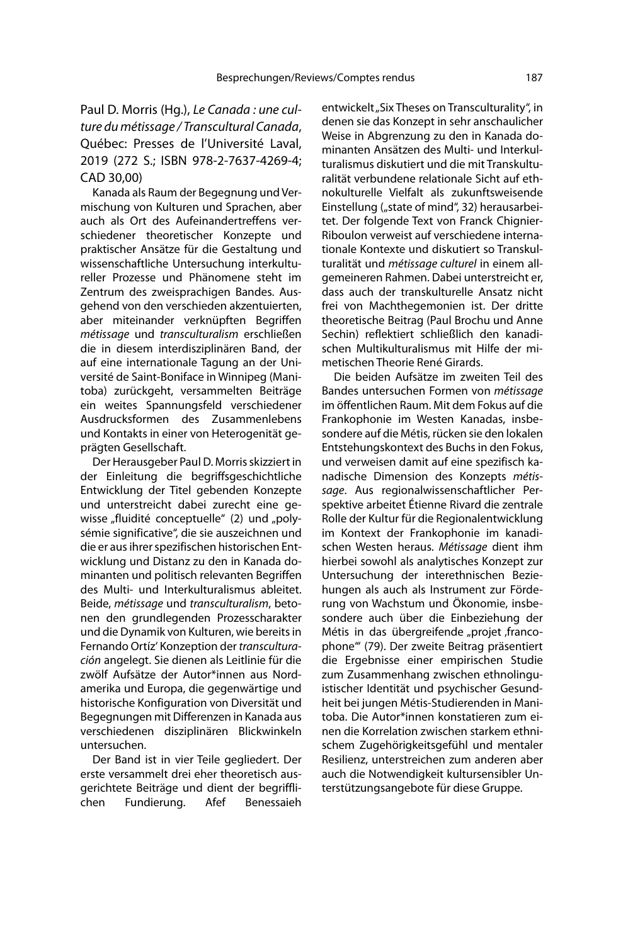# Paul D. Morris (Hg.), Le Canada : une culture du métissage / Transcultural Canada, Québec: Presses de l'Université Laval, 2019 (272 S.; ISBN 978-2-7637-4269-4; CAD 30,00)

Kanada als Raum der Begegnung und Vermischung von Kulturen und Sprachen, aber auch als Ort des Aufeinandertreffens verschiedener theoretischer Konzepte und praktischer Ansätze für die Gestaltung und wissenschaftliche Untersuchung interkultureller Prozesse und Phänomene steht im Zentrum des zweisprachigen Bandes. Ausgehend von den verschieden akzentuierten, aber miteinander verknüpften Begriffen métissage und transculturalism erschließen die in diesem interdisziplinären Band, der auf eine internationale Tagung an der Université de Saint-Boniface in Winnipeg (Manitoba) zurückgeht, versammelten Beiträge ein weites Spannungsfeld verschiedener Ausdrucksformen des Zusammenlebens und Kontakts in einer von Heterogenität geprägten Gesellschaft.

Der Herausgeber Paul D. Morris skizziert in der Einleitung die begriffsgeschichtliche Entwicklung der Titel gebenden Konzepte und unterstreicht dabei zurecht eine gewisse "fluidité conceptuelle" (2) und "polysémie significative", die sie auszeichnen und die er aus ihrer spezifischen historischen Entwicklung und Distanz zu den in Kanada dominanten und politisch relevanten Begriffen des Multi- und Interkulturalismus ableitet. Beide, métissage und transculturalism, betonen den grundlegenden Prozesscharakter und die Dynamik von Kulturen, wie bereits in Fernando Ortíz' Konzeption der transculturación angelegt. Sie dienen als Leitlinie für die zwölf Aufsätze der Autor\*innen aus Nordamerika und Europa, die gegenwärtige und historische Konfiguration von Diversität und Begegnungen mit Differenzen in Kanada aus verschiedenen disziplinären Blickwinkeln untersuchen.

Der Band ist in vier Teile gegliedert. Der erste versammelt drei eher theoretisch ausgerichtete Beiträge und dient der begrifflichen Fundierung. Afef Benessaieh entwickelt "Six Theses on Transculturality", in denen sie das Konzept in sehr anschaulicher Weise in Abgrenzung zu den in Kanada dominanten Ansätzen des Multi- und Interkulturalismus diskutiert und die mit Transkulturalität verbundene relationale Sicht auf ethnokulturelle Vielfalt als zukunftsweisende Einstellung ("state of mind", 32) herausarbeitet. Der folgende Text von Franck Chignier-Riboulon verweist auf verschiedene internationale Kontexte und diskutiert so Transkulturalität und métissage culturel in einem allgemeineren Rahmen. Dabei unterstreicht er, dass auch der transkulturelle Ansatz nicht frei von Machthegemonien ist. Der dritte theoretische Beitrag (Paul Brochu und Anne Sechin) reflektiert schließlich den kanadischen Multikulturalismus mit Hilfe der mimetischen Theorie René Girards.

Die beiden Aufsätze im zweiten Teil des Bandes untersuchen Formen von métissage im öffentlichen Raum. Mit dem Fokus auf die Frankophonie im Westen Kanadas, insbesondere auf die Métis, rücken sie den lokalen Entstehungskontext des Buchs in den Fokus, und verweisen damit auf eine spezifisch kanadische Dimension des Konzepts métissage. Aus regionalwissenschaftlicher Perspektive arbeitet Étienne Rivard die zentrale Rolle der Kultur für die Regionalentwicklung im Kontext der Frankophonie im kanadischen Westen heraus. Métissage dient ihm hierbei sowohl als analytisches Konzept zur Untersuchung der interethnischen Beziehungen als auch als Instrument zur Förderung von Wachstum und Ökonomie, insbesondere auch über die Einbeziehung der Métis in das übergreifende "projet francophone'" (79). Der zweite Beitrag präsentiert die Ergebnisse einer empirischen Studie zum Zusammenhang zwischen ethnolinguistischer Identität und psychischer Gesundheit bei jungen Métis-Studierenden in Manitoba. Die Autor\*innen konstatieren zum einen die Korrelation zwischen starkem ethnischem Zugehörigkeitsgefühl und mentaler Resilienz, unterstreichen zum anderen aber auch die Notwendigkeit kultursensibler Unterstützungsangebote für diese Gruppe.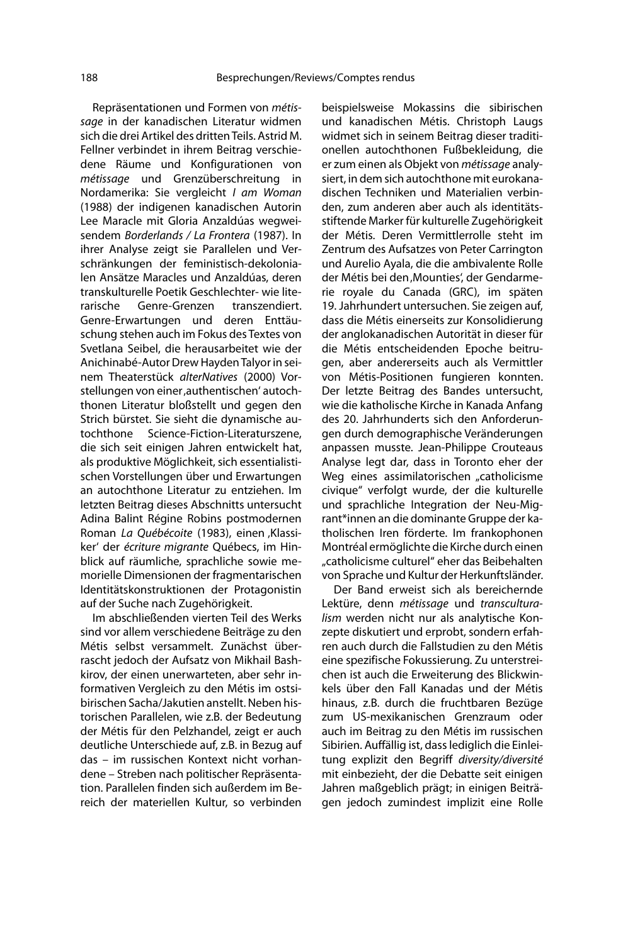Repräsentationen und Formen von métissage in der kanadischen Literatur widmen sich die drei Artikel des dritten Teils. Astrid M. Fellner verbindet in ihrem Beitrag verschiedene Räume und Konfigurationen von métissage und Grenzüberschreitung in Nordamerika: Sie vergleicht I am Woman (1988) der indigenen kanadischen Autorin Lee Maracle mit Gloria Anzaldúas wegweisendem Borderlands / La Frontera (1987). In ihrer Analyse zeigt sie Parallelen und Verschränkungen der feministisch-dekolonialen Ansätze Maracles und Anzaldúas, deren transkulturelle Poetik Geschlechter- wie literarische Genre-Grenzen transzendiert. Genre-Erwartungen und deren Enttäuschung stehen auch im Fokus des Textes von Svetlana Seibel, die herausarbeitet wie der Anichinabé-Autor Drew Hayden Talyor in seinem Theaterstück alterNatives (2000) Vorstellungen von einer, authentischen' autochthonen Literatur bloßstellt und gegen den Strich bürstet. Sie sieht die dynamische autochthone Science-Fiction-Literaturszene, die sich seit einigen Jahren entwickelt hat, als produktive Möglichkeit, sich essentialistischen Vorstellungen über und Erwartungen an autochthone Literatur zu entziehen. Im letzten Beitrag dieses Abschnitts untersucht Adina Balint Régine Robins postmodernen Roman La Québécoite (1983), einen Klassiker' der écriture migrante Québecs, im Hinblick auf räumliche, sprachliche sowie memorielle Dimensionen der fragmentarischen Identitätskonstruktionen der Protagonistin auf der Suche nach Zugehörigkeit.

Im abschließenden vierten Teil des Werks sind vor allem verschiedene Beiträge zu den Métis selbst versammelt. Zunächst überrascht jedoch der Aufsatz von Mikhail Bashkirov, der einen unerwarteten, aber sehr informativen Vergleich zu den Métis im ostsibirischen Sacha/Jakutien anstellt. Neben historischen Parallelen, wie z.B. der Bedeutung der Métis für den Pelzhandel, zeigt er auch deutliche Unterschiede auf, z.B. in Bezug auf das – im russischen Kontext nicht vorhandene – Streben nach politischer Repräsentation. Parallelen finden sich außerdem im Bereich der materiellen Kultur, so verbinden

beispielsweise Mokassins die sibirischen und kanadischen Métis. Christoph Laugs widmet sich in seinem Beitrag dieser traditionellen autochthonen Fußbekleidung, die er zum einen als Objekt von métissage analysiert, in dem sich autochthone mit eurokanadischen Techniken und Materialien verbinden, zum anderen aber auch als identitätsstiftende Marker für kulturelle Zugehörigkeit der Métis. Deren Vermittlerrolle steht im Zentrum des Aufsatzes von Peter Carrington und Aurelio Ayala, die die ambivalente Rolle der Métis bei den 'Mounties', der Gendarmerie royale du Canada (GRC), im späten 19. Jahrhundert untersuchen. Sie zeigen auf, dass die Métis einerseits zur Konsolidierung der anglokanadischen Autorität in dieser für die Métis entscheidenden Epoche beitrugen, aber andererseits auch als Vermittler von Métis-Positionen fungieren konnten. Der letzte Beitrag des Bandes untersucht, wie die katholische Kirche in Kanada Anfang des 20. Jahrhunderts sich den Anforderungen durch demographische Veränderungen anpassen musste. Jean-Philippe Crouteaus Analyse legt dar, dass in Toronto eher der Weg eines assimilatorischen "catholicisme civique" verfolgt wurde, der die kulturelle und sprachliche Integration der Neu-Migrant\*innen an die dominante Gruppe der katholischen Iren förderte. Im frankophonen Montréal ermöglichte die Kirche durch einen "catholicisme culturel" eher das Beibehalten von Sprache und Kultur der Herkunftsländer.

Der Band erweist sich als bereichernde Lektüre, denn *métissage* und transculturalism werden nicht nur als analytische Konzepte diskutiert und erprobt, sondern erfahren auch durch die Fallstudien zu den Métis eine spezifische Fokussierung. Zu unterstreichen ist auch die Erweiterung des Blickwinkels über den Fall Kanadas und der Métis hinaus, z.B. durch die fruchtbaren Bezüge zum US-mexikanischen Grenzraum oder auch im Beitrag zu den Métis im russischen Sibirien. Auffällig ist, dass lediglich die Einleitung explizit den Begriff diversity/diversité mit einbezieht, der die Debatte seit einigen Jahren maßgeblich prägt; in einigen Beiträgen jedoch zumindest implizit eine Rolle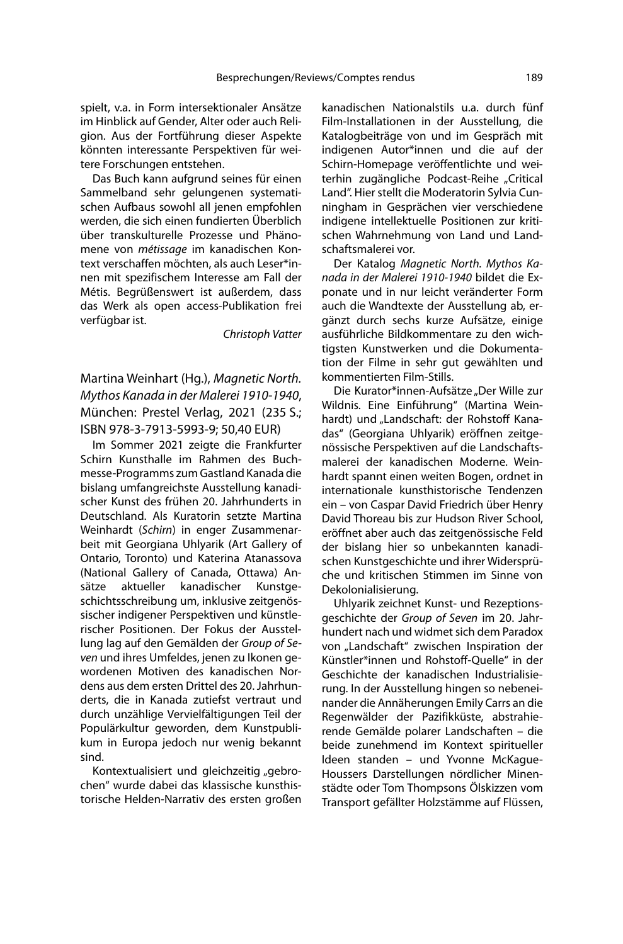spielt, v.a. in Form intersektionaler Ansätze im Hinblick auf Gender, Alter oder auch Religion. Aus der Fortführung dieser Aspekte könnten interessante Perspektiven für weitere Forschungen entstehen.

Das Buch kann aufgrund seines für einen Sammelband sehr gelungenen systematischen Aufbaus sowohl all jenen empfohlen werden, die sich einen fundierten Überblich über transkulturelle Prozesse und Phänomene von métissage im kanadischen Kontext verschaffen möchten, als auch Leser\*innen mit spezifischem Interesse am Fall der Métis. Begrüßenswert ist außerdem, dass das Werk als open access-Publikation frei verfügbar ist.

Christoph Vatter

Martina Weinhart (Hg.), Magnetic North. Mythos Kanada in der Malerei 1910-1940, München: Prestel Verlag, 2021 (235 S.; ISBN 978-3-7913-5993-9; 50,40 EUR)

Im Sommer 2021 zeigte die Frankfurter Schirn Kunsthalle im Rahmen des Buchmesse-Programms zum Gastland Kanada die bislang umfangreichste Ausstellung kanadischer Kunst des frühen 20. Jahrhunderts in Deutschland. Als Kuratorin setzte Martina Weinhardt (Schirn) in enger Zusammenarbeit mit Georgiana Uhlyarik (Art Gallery of Ontario, Toronto) und Katerina Atanassova (National Gallery of Canada, Ottawa) Ansätze aktueller kanadischer Kunstgeschichtsschreibung um, inklusive zeitgenössischer indigener Perspektiven und künstlerischer Positionen. Der Fokus der Ausstellung lag auf den Gemälden der Group of Seven und ihres Umfeldes, jenen zu Ikonen gewordenen Motiven des kanadischen Nordens aus dem ersten Drittel des 20. Jahrhunderts, die in Kanada zutiefst vertraut und durch unzählige Vervielfältigungen Teil der Populärkultur geworden, dem Kunstpublikum in Europa jedoch nur wenig bekannt sind.

Kontextualisiert und gleichzeitig "gebrochen" wurde dabei das klassische kunsthistorische Helden-Narrativ des ersten großen kanadischen Nationalstils u.a. durch fünf Film-Installationen in der Ausstellung, die Katalogbeiträge von und im Gespräch mit indigenen Autor\*innen und die auf der Schirn-Homepage veröffentlichte und weiterhin zugängliche Podcast-Reihe "Critical Land". Hier stellt die Moderatorin Sylvia Cunningham in Gesprächen vier verschiedene indigene intellektuelle Positionen zur kritischen Wahrnehmung von Land und Landschaftsmalerei vor.

Der Katalog Magnetic North. Mythos Kanada in der Malerei 1910-1940 bildet die Exponate und in nur leicht veränderter Form auch die Wandtexte der Ausstellung ab, ergänzt durch sechs kurze Aufsätze, einige ausführliche Bildkommentare zu den wichtigsten Kunstwerken und die Dokumentation der Filme in sehr gut gewählten und kommentierten Film-Stills.

Die Kurator\*innen-Aufsätze "Der Wille zur Wildnis. Eine Einführung" (Martina Weinhardt) und "Landschaft: der Rohstoff Kanadas" (Georgiana Uhlyarik) eröffnen zeitgenössische Perspektiven auf die Landschaftsmalerei der kanadischen Moderne. Weinhardt spannt einen weiten Bogen, ordnet in internationale kunsthistorische Tendenzen ein – von Caspar David Friedrich über Henry David Thoreau bis zur Hudson River School, eröffnet aber auch das zeitgenössische Feld der bislang hier so unbekannten kanadischen Kunstgeschichte und ihrer Widersprüche und kritischen Stimmen im Sinne von Dekolonialisierung.

Uhlyarik zeichnet Kunst- und Rezeptionsgeschichte der Group of Seven im 20. Jahrhundert nach und widmet sich dem Paradox von "Landschaft" zwischen Inspiration der Künstler\*innen und Rohstoff-Quelle" in der Geschichte der kanadischen Industrialisierung. In der Ausstellung hingen so nebeneinander die Annäherungen Emily Carrs an die Regenwälder der Pazifikküste, abstrahierende Gemälde polarer Landschaften – die beide zunehmend im Kontext spiritueller Ideen standen – und Yvonne McKague-Houssers Darstellungen nördlicher Minenstädte oder Tom Thompsons Ölskizzen vom Transport gefällter Holzstämme auf Flüssen,